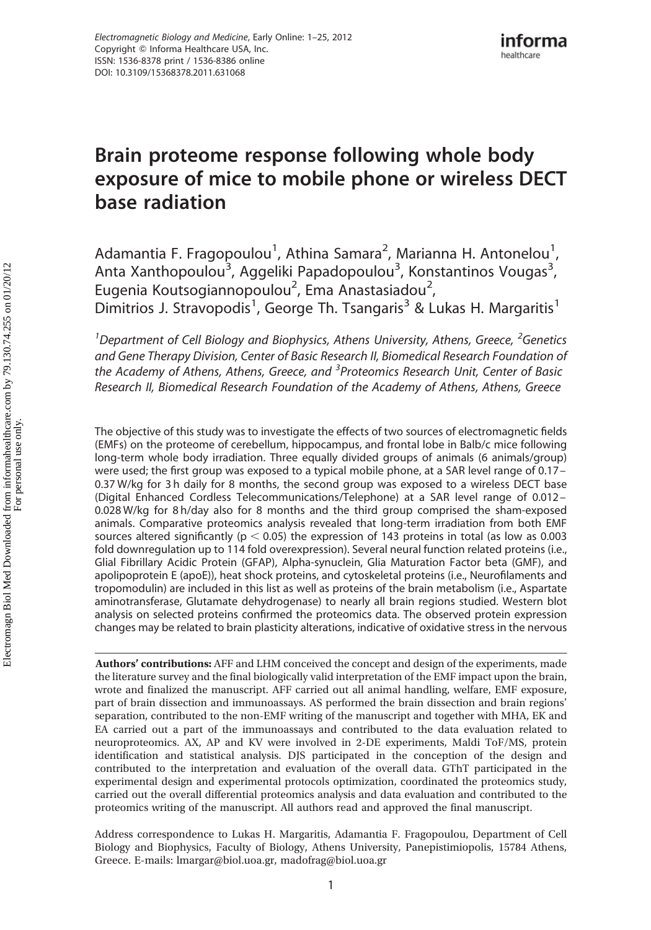# Brain proteome response following whole body exposure of mice to mobile phone or wireless DECT base radiation

Adamantia F. Fragopoulou<sup>1</sup>, Athina Samara<sup>2</sup>, Marianna H. Antonelou<sup>1</sup>, Anta Xanthopoulou<sup>3</sup>, Aggeliki Papadopoulou<sup>3</sup>, Konstantinos Vougas<sup>3</sup>, Eugenia Koutsogiannopoulou<sup>2</sup>, Ema Anastasiadou<sup>2</sup>, Dimitrios J. Stravopodis<sup>1</sup>, George Th. Tsangaris<sup>3</sup> & Lukas H. Margaritis<sup>1</sup>

<sup>1</sup>Department of Cell Biology and Biophysics, Athens University, Athens, Greece, <sup>2</sup>Genetics and Gene Therapy Division, Center of Basic Research II, Biomedical Research Foundation of the Academy of Athens, Athens, Greece, and <sup>3</sup> Proteomics Research Unit, Center of Basic Research II, Biomedical Research Foundation of the Academy of Athens, Athens, Greece

The objective of this study was to investigate the effects of two sources of electromagnetic fields (EMFs) on the proteome of cerebellum, hippocampus, and frontal lobe in Balb/c mice following long-term whole body irradiation. Three equally divided groups of animals (6 animals/group) were used; the first group was exposed to a typical mobile phone, at a SAR level range of 0.17 – 0.37 W/kg for 3 h daily for 8 months, the second group was exposed to a wireless DECT base (Digital Enhanced Cordless Telecommunications/Telephone) at a SAR level range of 0.012 – 0.028 W/kg for 8 h/day also for 8 months and the third group comprised the sham-exposed animals. Comparative proteomics analysis revealed that long-term irradiation from both EMF sources altered significantly ( $p < 0.05$ ) the expression of 143 proteins in total (as low as 0.003 fold downregulation up to 114 fold overexpression). Several neural function related proteins (i.e., Glial Fibrillary Acidic Protein (GFAP), Alpha-synuclein, Glia Maturation Factor beta (GMF), and apolipoprotein E (apoE)), heat shock proteins, and cytoskeletal proteins (i.e., Neurofilaments and tropomodulin) are included in this list as well as proteins of the brain metabolism (i.e., Aspartate aminotransferase, Glutamate dehydrogenase) to nearly all brain regions studied. Western blot analysis on selected proteins confirmed the proteomics data. The observed protein expression changes may be related to brain plasticity alterations, indicative of oxidative stress in the nervous

Authors' contributions: AFF and LHM conceived the concept and design of the experiments, made the literature survey and the final biologically valid interpretation of the EMF impact upon the brain, wrote and finalized the manuscript. AFF carried out all animal handling, welfare, EMF exposure, part of brain dissection and immunoassays. AS performed the brain dissection and brain regions' separation, contributed to the non-EMF writing of the manuscript and together with MHA, EK and EA carried out a part of the immunoassays and contributed to the data evaluation related to neuroproteomics. AX, AP and KV were involved in 2-DE experiments, Maldi ToF/MS, protein identification and statistical analysis. DJS participated in the conception of the design and contributed to the interpretation and evaluation of the overall data. GThT participated in the experimental design and experimental protocols optimization, coordinated the proteomics study, carried out the overall differential proteomics analysis and data evaluation and contributed to the proteomics writing of the manuscript. All authors read and approved the final manuscript.

Address correspondence to Lukas H. Margaritis, Adamantia F. Fragopoulou, Department of Cell Biology and Biophysics, Faculty of Biology, Athens University, Panepistimiopolis, 15784 Athens, Greece. E-mails: lmargar@biol.uoa.gr, madofrag@biol.uoa.gr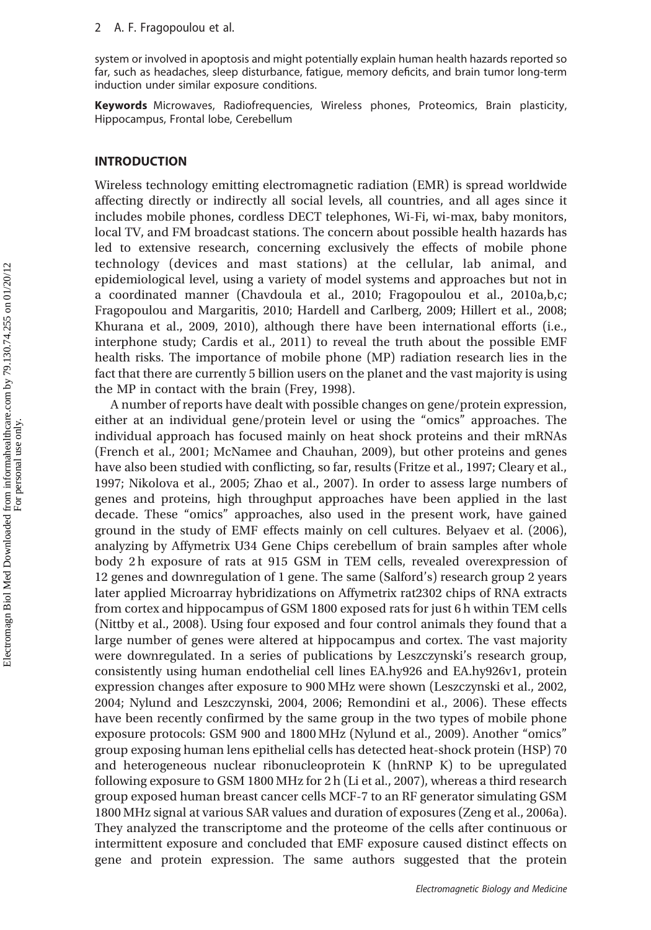system or involved in apoptosis and might potentially explain human health hazards reported so far, such as headaches, sleep disturbance, fatigue, memory deficits, and brain tumor long-term induction under similar exposure conditions.

Keywords Microwaves, Radiofrequencies, Wireless phones, Proteomics, Brain plasticity, Hippocampus, Frontal lobe, Cerebellum

### INTRODUCTION

Wireless technology emitting electromagnetic radiation (EMR) is spread worldwide affecting directly or indirectly all social levels, all countries, and all ages since it includes mobile phones, cordless DECT telephones, Wi-Fi, wi-max, baby monitors, local TV, and FM broadcast stations. The concern about possible health hazards has led to extensive research, concerning exclusively the effects of mobile phone technology (devices and mast stations) at the cellular, lab animal, and epidemiological level, using a variety of model systems and approaches but not in a coordinated manner (Chavdoula et al., 2010; Fragopoulou et al., 2010a,b,c; Fragopoulou and Margaritis, 2010; Hardell and Carlberg, 2009; Hillert et al., 2008; Khurana et al., 2009, 2010), although there have been international efforts (i.e., interphone study; Cardis et al., 2011) to reveal the truth about the possible EMF health risks. The importance of mobile phone (MP) radiation research lies in the fact that there are currently 5 billion users on the planet and the vast majority is using the MP in contact with the brain (Frey, 1998).

A number of reports have dealt with possible changes on gene/protein expression, either at an individual gene/protein level or using the "omics" approaches. The individual approach has focused mainly on heat shock proteins and their mRNAs (French et al., 2001; McNamee and Chauhan, 2009), but other proteins and genes have also been studied with conflicting, so far, results (Fritze et al., 1997; Cleary et al., 1997; Nikolova et al., 2005; Zhao et al., 2007). In order to assess large numbers of genes and proteins, high throughput approaches have been applied in the last decade. These "omics" approaches, also used in the present work, have gained ground in the study of EMF effects mainly on cell cultures. Belyaev et al. (2006), analyzing by Affymetrix U34 Gene Chips cerebellum of brain samples after whole body 2 h exposure of rats at 915 GSM in TEM cells, revealed overexpression of 12 genes and downregulation of 1 gene. The same (Salford's) research group 2 years later applied Microarray hybridizations on Affymetrix rat2302 chips of RNA extracts from cortex and hippocampus of GSM 1800 exposed rats for just 6 h within TEM cells (Nittby et al., 2008). Using four exposed and four control animals they found that a large number of genes were altered at hippocampus and cortex. The vast majority were downregulated. In a series of publications by Leszczynski's research group, consistently using human endothelial cell lines EA.hy926 and EA.hy926v1, protein expression changes after exposure to 900 MHz were shown (Leszczynski et al., 2002, 2004; Nylund and Leszczynski, 2004, 2006; Remondini et al., 2006). These effects have been recently confirmed by the same group in the two types of mobile phone exposure protocols: GSM 900 and 1800 MHz (Nylund et al., 2009). Another "omics" group exposing human lens epithelial cells has detected heat-shock protein (HSP) 70 and heterogeneous nuclear ribonucleoprotein K (hnRNP K) to be upregulated following exposure to GSM 1800 MHz for 2 h (Li et al., 2007), whereas a third research group exposed human breast cancer cells MCF-7 to an RF generator simulating GSM 1800 MHz signal at various SAR values and duration of exposures (Zeng et al., 2006a). They analyzed the transcriptome and the proteome of the cells after continuous or intermittent exposure and concluded that EMF exposure caused distinct effects on gene and protein expression. The same authors suggested that the protein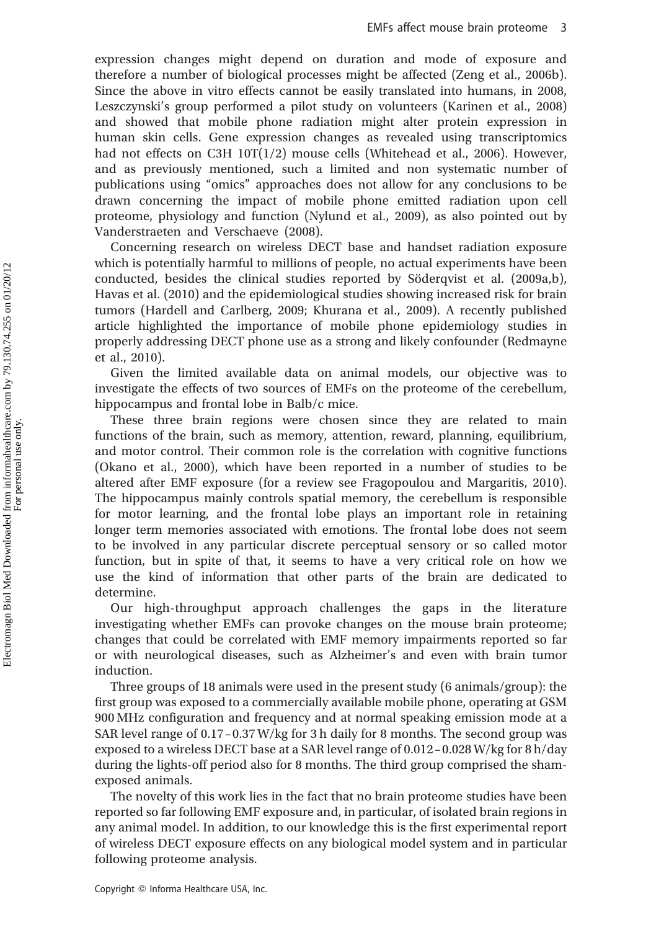expression changes might depend on duration and mode of exposure and therefore a number of biological processes might be affected (Zeng et al., 2006b). Since the above in vitro effects cannot be easily translated into humans, in 2008, Leszczynski's group performed a pilot study on volunteers (Karinen et al., 2008) and showed that mobile phone radiation might alter protein expression in human skin cells. Gene expression changes as revealed using transcriptomics had not effects on C3H  $10T(1/2)$  mouse cells (Whitehead et al., 2006). However, and as previously mentioned, such a limited and non systematic number of publications using "omics" approaches does not allow for any conclusions to be drawn concerning the impact of mobile phone emitted radiation upon cell proteome, physiology and function (Nylund et al., 2009), as also pointed out by Vanderstraeten and Verschaeve (2008).

Concerning research on wireless DECT base and handset radiation exposure which is potentially harmful to millions of people, no actual experiments have been conducted, besides the clinical studies reported by Söderqvist et al. (2009a,b), Havas et al. (2010) and the epidemiological studies showing increased risk for brain tumors (Hardell and Carlberg, 2009; Khurana et al., 2009). A recently published article highlighted the importance of mobile phone epidemiology studies in properly addressing DECT phone use as a strong and likely confounder (Redmayne et al., 2010).

Given the limited available data on animal models, our objective was to investigate the effects of two sources of EMFs on the proteome of the cerebellum, hippocampus and frontal lobe in Balb/c mice.

These three brain regions were chosen since they are related to main functions of the brain, such as memory, attention, reward, planning, equilibrium, and motor control. Their common role is the correlation with cognitive functions (Okano et al., 2000), which have been reported in a number of studies to be altered after EMF exposure (for a review see Fragopoulou and Margaritis, 2010). The hippocampus mainly controls spatial memory, the cerebellum is responsible for motor learning, and the frontal lobe plays an important role in retaining longer term memories associated with emotions. The frontal lobe does not seem to be involved in any particular discrete perceptual sensory or so called motor function, but in spite of that, it seems to have a very critical role on how we use the kind of information that other parts of the brain are dedicated to determine.

Our high-throughput approach challenges the gaps in the literature investigating whether EMFs can provoke changes on the mouse brain proteome; changes that could be correlated with EMF memory impairments reported so far or with neurological diseases, such as Alzheimer's and even with brain tumor induction.

Three groups of 18 animals were used in the present study (6 animals/group): the first group was exposed to a commercially available mobile phone, operating at GSM 900 MHz configuration and frequency and at normal speaking emission mode at a SAR level range of 0.17 – 0.37 W/kg for 3 h daily for 8 months. The second group was exposed to a wireless DECT base at a SAR level range of 0.012 –0.028 W/kg for 8 h/day during the lights-off period also for 8 months. The third group comprised the shamexposed animals.

The novelty of this work lies in the fact that no brain proteome studies have been reported so far following EMF exposure and, in particular, of isolated brain regions in any animal model. In addition, to our knowledge this is the first experimental report of wireless DECT exposure effects on any biological model system and in particular following proteome analysis.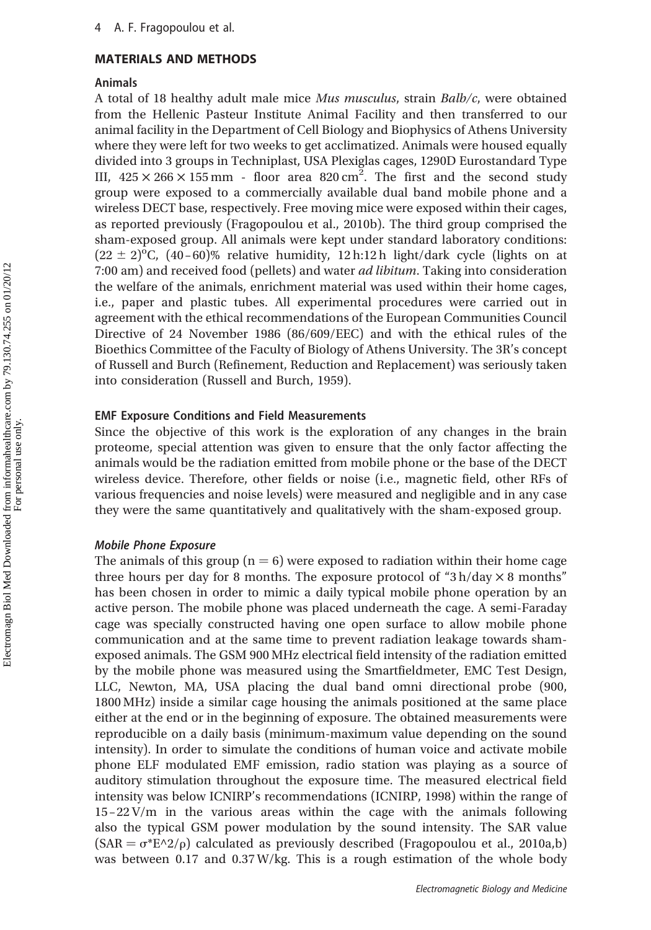## MATERIALS AND METHODS

## Animals

A total of 18 healthy adult male mice Mus musculus, strain Balb/c, were obtained from the Hellenic Pasteur Institute Animal Facility and then transferred to our animal facility in the Department of Cell Biology and Biophysics of Athens University where they were left for two weeks to get acclimatized. Animals were housed equally divided into 3 groups in Techniplast, USA Plexiglas cages, 1290D Eurostandard Type III,  $425 \times 266 \times 155$  mm - floor area 820 cm<sup>2</sup>. The first and the second study group were exposed to a commercially available dual band mobile phone and a wireless DECT base, respectively. Free moving mice were exposed within their cages, as reported previously (Fragopoulou et al., 2010b). The third group comprised the sham-exposed group. All animals were kept under standard laboratory conditions:  $(22 \pm 2)^{o}$ C,  $(40-60)$ % relative humidity, 12 h:12 h light/dark cycle (lights on at 7:00 am) and received food (pellets) and water ad libitum. Taking into consideration the welfare of the animals, enrichment material was used within their home cages, i.e., paper and plastic tubes. All experimental procedures were carried out in agreement with the ethical recommendations of the European Communities Council Directive of 24 November 1986 (86/609/EEC) and with the ethical rules of the Bioethics Committee of the Faculty of Biology of Athens University. The 3R's concept of Russell and Burch (Refinement, Reduction and Replacement) was seriously taken into consideration (Russell and Burch, 1959).

## EMF Exposure Conditions and Field Measurements

Since the objective of this work is the exploration of any changes in the brain proteome, special attention was given to ensure that the only factor affecting the animals would be the radiation emitted from mobile phone or the base of the DECT wireless device. Therefore, other fields or noise (i.e., magnetic field, other RFs of various frequencies and noise levels) were measured and negligible and in any case they were the same quantitatively and qualitatively with the sham-exposed group.

## Mobile Phone Exposure

The animals of this group ( $n = 6$ ) were exposed to radiation within their home cage three hours per day for 8 months. The exposure protocol of "3 h/day  $\times$  8 months" has been chosen in order to mimic a daily typical mobile phone operation by an active person. The mobile phone was placed underneath the cage. A semi-Faraday cage was specially constructed having one open surface to allow mobile phone communication and at the same time to prevent radiation leakage towards shamexposed animals. The GSM 900 MHz electrical field intensity of the radiation emitted by the mobile phone was measured using the Smartfieldmeter, EMC Test Design, LLC, Newton, MA, USA placing the dual band omni directional probe (900, 1800 MHz) inside a similar cage housing the animals positioned at the same place either at the end or in the beginning of exposure. The obtained measurements were reproducible on a daily basis (minimum-maximum value depending on the sound intensity). In order to simulate the conditions of human voice and activate mobile phone ELF modulated EMF emission, radio station was playing as a source of auditory stimulation throughout the exposure time. The measured electrical field intensity was below ICNIRP's recommendations (ICNIRP, 1998) within the range of  $15 - 22$  V/m in the various areas within the cage with the animals following also the typical GSM power modulation by the sound intensity. The SAR value  $(SAR = \sigma^*E^2/\rho)$  calculated as previously described (Fragopoulou et al., 2010a,b) was between 0.17 and 0.37 W/kg. This is a rough estimation of the whole body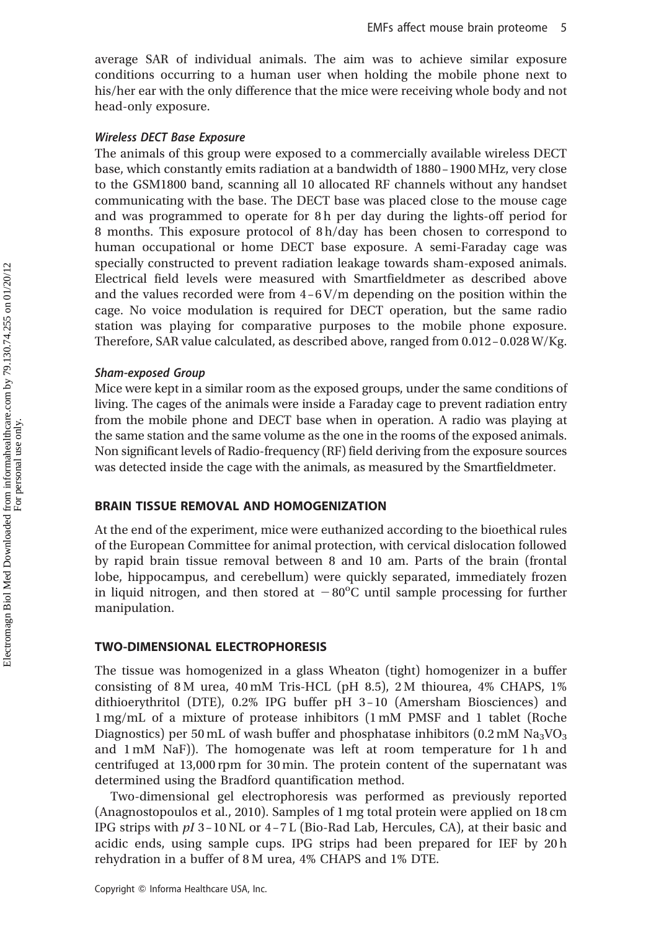average SAR of individual animals. The aim was to achieve similar exposure conditions occurring to a human user when holding the mobile phone next to his/her ear with the only difference that the mice were receiving whole body and not head-only exposure.

# Wireless DECT Base Exposure

The animals of this group were exposed to a commercially available wireless DECT base, which constantly emits radiation at a bandwidth of 1880–1900 MHz, very close to the GSM1800 band, scanning all 10 allocated RF channels without any handset communicating with the base. The DECT base was placed close to the mouse cage and was programmed to operate for 8 h per day during the lights-off period for 8 months. This exposure protocol of 8 h/day has been chosen to correspond to human occupational or home DECT base exposure. A semi-Faraday cage was specially constructed to prevent radiation leakage towards sham-exposed animals. Electrical field levels were measured with Smartfieldmeter as described above and the values recorded were from  $4-6$  V/m depending on the position within the cage. No voice modulation is required for DECT operation, but the same radio station was playing for comparative purposes to the mobile phone exposure. Therefore, SAR value calculated, as described above, ranged from 0.012– 0.028 W/Kg.

# Sham-exposed Group

Mice were kept in a similar room as the exposed groups, under the same conditions of living. The cages of the animals were inside a Faraday cage to prevent radiation entry from the mobile phone and DECT base when in operation. A radio was playing at the same station and the same volume as the one in the rooms of the exposed animals. Non significant levels of Radio-frequency (RF) field deriving from the exposure sources was detected inside the cage with the animals, as measured by the Smartfieldmeter.

# BRAIN TISSUE REMOVAL AND HOMOGENIZATION

At the end of the experiment, mice were euthanized according to the bioethical rules of the European Committee for animal protection, with cervical dislocation followed by rapid brain tissue removal between 8 and 10 am. Parts of the brain (frontal lobe, hippocampus, and cerebellum) were quickly separated, immediately frozen in liquid nitrogen, and then stored at  $-80^{\circ}$ C until sample processing for further manipulation.

## TWO-DIMENSIONAL ELECTROPHORESIS

The tissue was homogenized in a glass Wheaton (tight) homogenizer in a buffer consisting of 8 M urea,  $40 \text{ mM}$  Tris-HCL (pH 8.5), 2 M thiourea,  $4\%$  CHAPS,  $1\%$ dithioerythritol (DTE), 0.2% IPG buffer pH 3– 10 (Amersham Biosciences) and 1 mg/mL of a mixture of protease inhibitors (1 mM PMSF and 1 tablet (Roche Diagnostics) per 50 mL of wash buffer and phosphatase inhibitors  $(0.2 \text{ mM } Na<sub>3</sub>VO<sub>3</sub>)$ and 1 mM NaF)). The homogenate was left at room temperature for 1 h and centrifuged at 13,000 rpm for 30 min. The protein content of the supernatant was determined using the Bradford quantification method.

Two-dimensional gel electrophoresis was performed as previously reported (Anagnostopoulos et al., 2010). Samples of 1 mg total protein were applied on 18 cm IPG strips with  $pI$  3–10 NL or 4–7 L (Bio-Rad Lab, Hercules, CA), at their basic and acidic ends, using sample cups. IPG strips had been prepared for IEF by 20 h rehydration in a buffer of 8 M urea, 4% CHAPS and 1% DTE.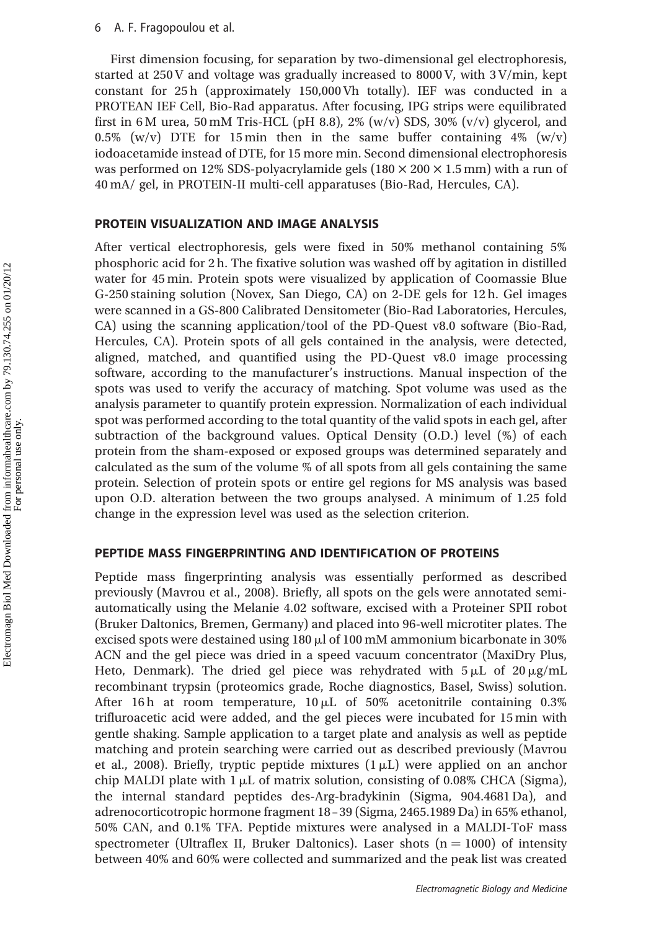First dimension focusing, for separation by two-dimensional gel electrophoresis, started at 250 V and voltage was gradually increased to 8000 V, with 3 V/min, kept constant for 25 h (approximately 150,000 Vh totally). IEF was conducted in a PROTEAN IEF Cell, Bio-Rad apparatus. After focusing, IPG strips were equilibrated first in 6 M urea, 50 mM Tris-HCL (pH 8.8), 2% (w/v) SDS, 30% (v/v) glycerol, and 0.5% (w/v) DTE for 15 min then in the same buffer containing  $4\%$  (w/v) iodoacetamide instead of DTE, for 15 more min. Second dimensional electrophoresis was performed on 12% SDS-polyacrylamide gels ( $180 \times 200 \times 1.5$  mm) with a run of 40 mA/ gel, in PROTEIN-II multi-cell apparatuses (Bio-Rad, Hercules, CA).

## PROTEIN VISUALIZATION AND IMAGE ANALYSIS

After vertical electrophoresis, gels were fixed in 50% methanol containing 5% phosphoric acid for 2 h. The fixative solution was washed off by agitation in distilled water for 45 min. Protein spots were visualized by application of Coomassie Blue G-250 staining solution (Novex, San Diego, CA) on 2-DE gels for 12 h. Gel images were scanned in a GS-800 Calibrated Densitometer (Bio-Rad Laboratories, Hercules, CA) using the scanning application/tool of the PD-Quest v8.0 software (Bio-Rad, Hercules, CA). Protein spots of all gels contained in the analysis, were detected, aligned, matched, and quantified using the PD-Quest v8.0 image processing software, according to the manufacturer's instructions. Manual inspection of the spots was used to verify the accuracy of matching. Spot volume was used as the analysis parameter to quantify protein expression. Normalization of each individual spot was performed according to the total quantity of the valid spots in each gel, after subtraction of the background values. Optical Density (O.D.) level (%) of each protein from the sham-exposed or exposed groups was determined separately and calculated as the sum of the volume % of all spots from all gels containing the same protein. Selection of protein spots or entire gel regions for MS analysis was based upon O.D. alteration between the two groups analysed. A minimum of 1.25 fold change in the expression level was used as the selection criterion.

## PEPTIDE MASS FINGERPRINTING AND IDENTIFICATION OF PROTEINS

Peptide mass fingerprinting analysis was essentially performed as described previously (Mavrou et al., 2008). Briefly, all spots on the gels were annotated semiautomatically using the Melanie 4.02 software, excised with a Proteiner SPII robot (Bruker Daltonics, Bremen, Germany) and placed into 96-well microtiter plates. The excised spots were destained using  $180 \mu$  of  $100 \text{ mM}$  ammonium bicarbonate in 30% ACN and the gel piece was dried in a speed vacuum concentrator (MaxiDry Plus, Heto, Denmark). The dried gel piece was rehydrated with  $5 \mu L$  of  $20 \mu g/mL$ recombinant trypsin (proteomics grade, Roche diagnostics, Basel, Swiss) solution. After 16 h at room temperature,  $10 \mu L$  of 50% acetonitrile containing 0.3% trifluroacetic acid were added, and the gel pieces were incubated for 15 min with gentle shaking. Sample application to a target plate and analysis as well as peptide matching and protein searching were carried out as described previously (Mavrou et al., 2008). Briefly, tryptic peptide mixtures  $(1 \mu L)$  were applied on an anchor chip MALDI plate with  $1 \mu$ L of matrix solution, consisting of 0.08% CHCA (Sigma), the internal standard peptides des-Arg-bradykinin (Sigma, 904.4681 Da), and adrenocorticotropic hormone fragment 18–39 (Sigma, 2465.1989 Da) in 65% ethanol, 50% CAN, and 0.1% TFA. Peptide mixtures were analysed in a MALDI-ToF mass spectrometer (Ultraflex II, Bruker Daltonics). Laser shots  $(n = 1000)$  of intensity between 40% and 60% were collected and summarized and the peak list was created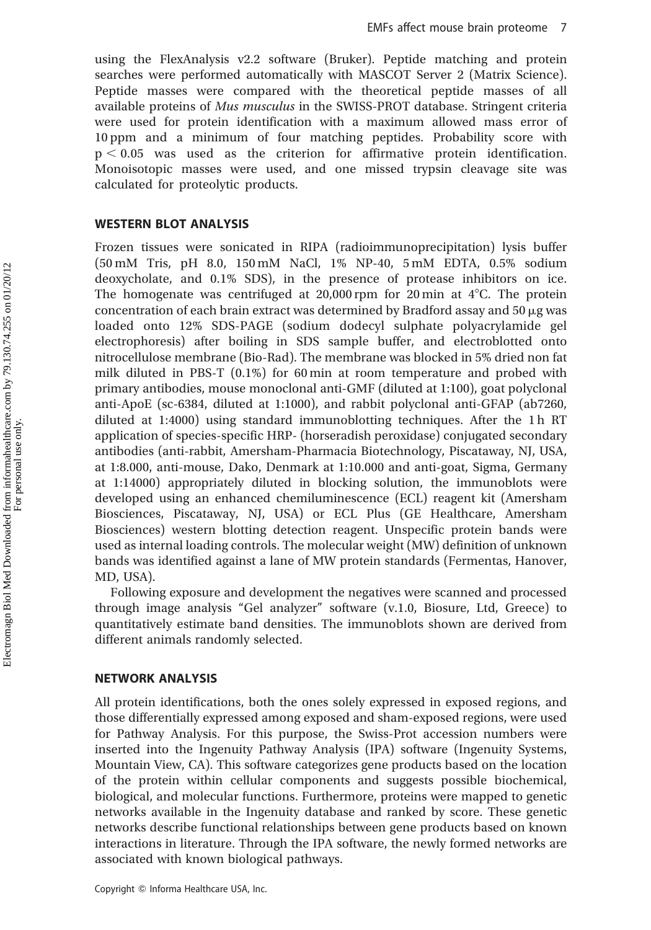using the FlexAnalysis v2.2 software (Bruker). Peptide matching and protein searches were performed automatically with MASCOT Server 2 (Matrix Science). Peptide masses were compared with the theoretical peptide masses of all available proteins of Mus musculus in the SWISS-PROT database. Stringent criteria were used for protein identification with a maximum allowed mass error of 10 ppm and a minimum of four matching peptides. Probability score with  $p < 0.05$  was used as the criterion for affirmative protein identification. Monoisotopic masses were used, and one missed trypsin cleavage site was calculated for proteolytic products.

#### WESTERN BLOT ANALYSIS

Frozen tissues were sonicated in RIPA (radioimmunoprecipitation) lysis buffer (50 mM Tris, pH 8.0, 150 mM NaCl, 1% NP-40, 5 mM EDTA, 0.5% sodium deoxycholate, and 0.1% SDS), in the presence of protease inhibitors on ice. The homogenate was centrifuged at 20,000 rpm for 20 min at  $4^{\circ}$ C. The protein concentration of each brain extract was determined by Bradford assay and  $50 \mu g$  was loaded onto 12% SDS-PAGE (sodium dodecyl sulphate polyacrylamide gel electrophoresis) after boiling in SDS sample buffer, and electroblotted onto nitrocellulose membrane (Bio-Rad). The membrane was blocked in 5% dried non fat milk diluted in PBS-T (0.1%) for 60 min at room temperature and probed with primary antibodies, mouse monoclonal anti-GMF (diluted at 1:100), goat polyclonal anti-ApoE (sc-6384, diluted at 1:1000), and rabbit polyclonal anti-GFAP (ab7260, diluted at 1:4000) using standard immunoblotting techniques. After the 1 h RT application of species-specific HRP- (horseradish peroxidase) conjugated secondary antibodies (anti-rabbit, Amersham-Pharmacia Biotechnology, Piscataway, NJ, USA, at 1:8.000, anti-mouse, Dako, Denmark at 1:10.000 and anti-goat, Sigma, Germany at 1:14000) appropriately diluted in blocking solution, the immunoblots were developed using an enhanced chemiluminescence (ECL) reagent kit (Amersham Biosciences, Piscataway, NJ, USA) or ECL Plus (GE Healthcare, Amersham Biosciences) western blotting detection reagent. Unspecific protein bands were used as internal loading controls. The molecular weight (MW) definition of unknown bands was identified against a lane of MW protein standards (Fermentas, Hanover, MD, USA).

Following exposure and development the negatives were scanned and processed through image analysis "Gel analyzer" software (v.1.0, Biosure, Ltd, Greece) to quantitatively estimate band densities. The immunoblots shown are derived from different animals randomly selected.

#### NETWORK ANALYSIS

All protein identifications, both the ones solely expressed in exposed regions, and those differentially expressed among exposed and sham-exposed regions, were used for Pathway Analysis. For this purpose, the Swiss-Prot accession numbers were inserted into the Ingenuity Pathway Analysis (IPA) software (Ingenuity Systems, Mountain View, CA). This software categorizes gene products based on the location of the protein within cellular components and suggests possible biochemical, biological, and molecular functions. Furthermore, proteins were mapped to genetic networks available in the Ingenuity database and ranked by score. These genetic networks describe functional relationships between gene products based on known interactions in literature. Through the IPA software, the newly formed networks are associated with known biological pathways.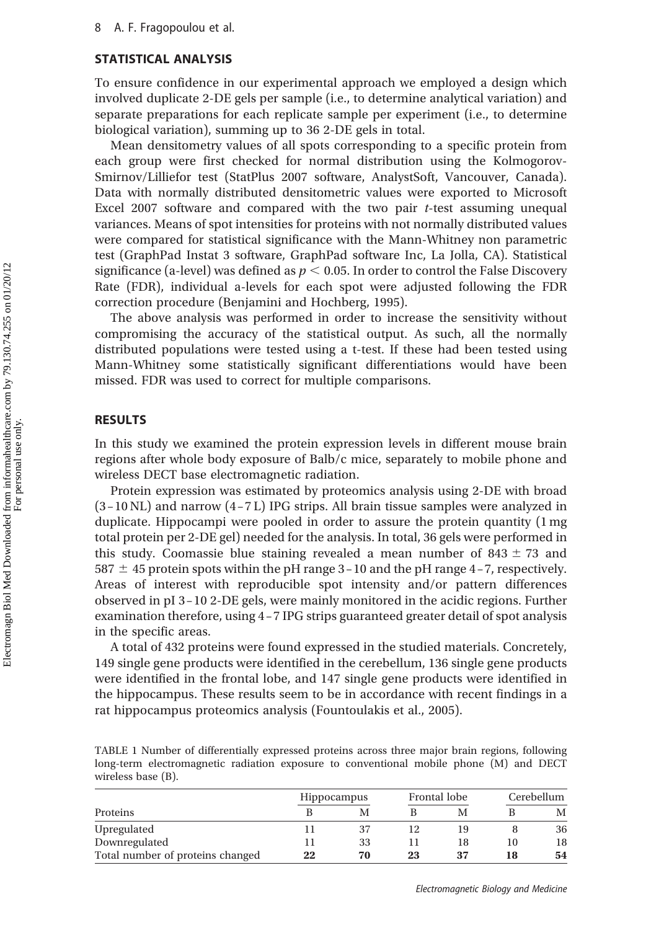## STATISTICAL ANALYSIS

To ensure confidence in our experimental approach we employed a design which involved duplicate 2-DE gels per sample (i.e., to determine analytical variation) and separate preparations for each replicate sample per experiment (i.e., to determine biological variation), summing up to 36 2-DE gels in total.

Mean densitometry values of all spots corresponding to a specific protein from each group were first checked for normal distribution using the Kolmogorov-Smirnov/Lilliefor test (StatPlus 2007 software, AnalystSoft, Vancouver, Canada). Data with normally distributed densitometric values were exported to Microsoft Excel 2007 software and compared with the two pair  $t$ -test assuming unequal variances. Means of spot intensities for proteins with not normally distributed values were compared for statistical significance with the Mann-Whitney non parametric test (GraphPad Instat 3 software, GraphPad software Inc, La Jolla, CA). Statistical significance (a-level) was defined as  $p < 0.05$ . In order to control the False Discovery Rate (FDR), individual a-levels for each spot were adjusted following the FDR correction procedure (Benjamini and Hochberg, 1995).

The above analysis was performed in order to increase the sensitivity without compromising the accuracy of the statistical output. As such, all the normally distributed populations were tested using a t-test. If these had been tested using Mann-Whitney some statistically significant differentiations would have been missed. FDR was used to correct for multiple comparisons.

# RESULTS

In this study we examined the protein expression levels in different mouse brain regions after whole body exposure of Balb/c mice, separately to mobile phone and wireless DECT base electromagnetic radiation.

Protein expression was estimated by proteomics analysis using 2-DE with broad (3–10 NL) and narrow (4–7 L) IPG strips. All brain tissue samples were analyzed in duplicate. Hippocampi were pooled in order to assure the protein quantity (1 mg total protein per 2-DE gel) needed for the analysis. In total, 36 gels were performed in this study. Coomassie blue staining revealed a mean number of  $843 \pm 73$  and  $587 \pm 45$  protein spots within the pH range 3–10 and the pH range 4–7, respectively. Areas of interest with reproducible spot intensity and/or pattern differences observed in pI 3–10 2-DE gels, were mainly monitored in the acidic regions. Further examination therefore, using 4–7 IPG strips guaranteed greater detail of spot analysis in the specific areas.

A total of 432 proteins were found expressed in the studied materials. Concretely, 149 single gene products were identified in the cerebellum, 136 single gene products were identified in the frontal lobe, and 147 single gene products were identified in the hippocampus. These results seem to be in accordance with recent findings in a rat hippocampus proteomics analysis (Fountoulakis et al., 2005).

TABLE 1 Number of differentially expressed proteins across three major brain regions, following long-term electromagnetic radiation exposure to conventional mobile phone (M) and DECT wireless base (B).

|                                  | <b>Hippocampus</b> |    |    | Frontal lobe |    | Cerebellum |
|----------------------------------|--------------------|----|----|--------------|----|------------|
| Proteins                         |                    | M  |    | M            |    | М          |
| Upregulated                      |                    | 37 | 12 | 19           |    | 36         |
| Downregulated                    |                    | 33 |    | 18           | 10 | 18         |
| Total number of proteins changed | 22                 | 70 | 23 | 37           | 18 | 54         |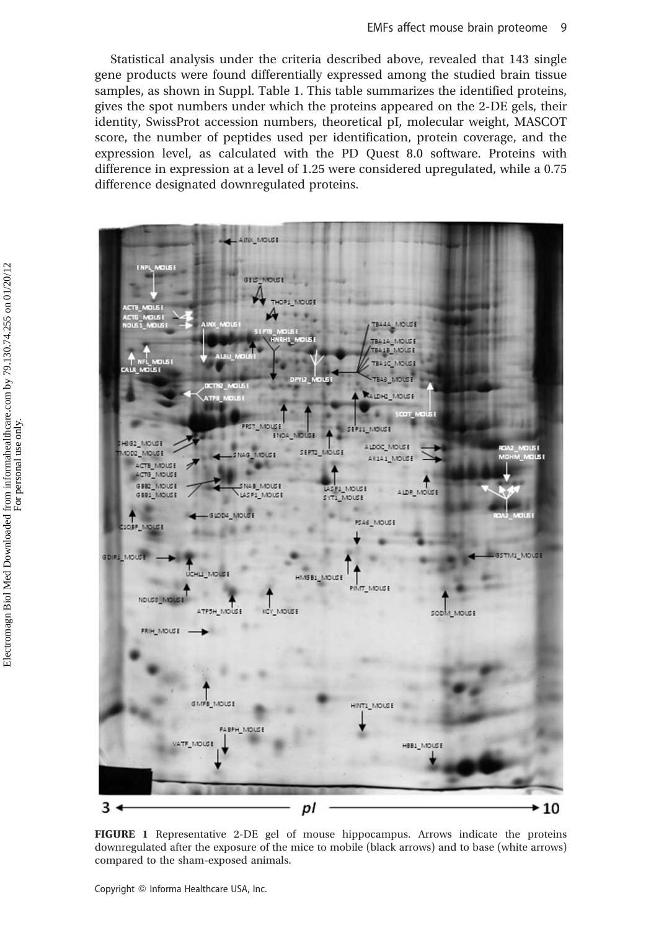Statistical analysis under the criteria described above, revealed that 143 single gene products were found differentially expressed among the studied brain tissue samples, as shown in Suppl. Table 1. This table summarizes the identified proteins, gives the spot numbers under which the proteins appeared on the 2-DE gels, their identity, SwissProt accession numbers, theoretical pI, molecular weight, MASCOT score, the number of peptides used per identification, protein coverage, and the expression level, as calculated with the PD Quest 8.0 software. Proteins with difference in expression at a level of 1.25 were considered upregulated, while a 0.75 difference designated downregulated proteins.

AINC\_MOUSE  $O(E)$ **GEIS NATURE** THOP! MOUSE TB444\_MOUSE TBA1A MOUSE BA18\_MOUSE TBAIC MOUSE MOUSE **RALDHO\_MOUSE** scor i PRS7 MOUSE SEP11 MOUSE **ENOA MOUSE HBG2\_MOUSE** ALDOC MOUSE NAS\_MOUSE 13JON\_00CM SEPT2\_MOUSE AK1A1\_MOUSE ACTB\_MOUSE ACTO MOUSE GBRC\_MOUSE SNAB\_MOUSE LASP1\_MOUSE ALDR\_MOUSE GBB1\_MOUSE LASPI\_MOUSE SYT1\_MOUSE GLOD4\_MOUSE PSA6\_MOUSE 10BP\_MOUSE M1\_MOUSE GDIRL MOUS UCHLI MOUSE HIVEBT IVOIRE PINT\_MOUSE NDUSS ANDUSE KCY\_MOUSE ATPSH MOUSE SODM\_MOUSE FRIH MOUSE GIMFB\_MOUSE HINT1 MOUSE FABPH\_MOUSE VATE\_MOUSE HBB1\_MOUSE  $3 +$ pl ► 10

FIGURE 1 Representative 2-DE gel of mouse hippocampus. Arrows indicate the proteins downregulated after the exposure of the mice to mobile (black arrows) and to base (white arrows) compared to the sham-exposed animals.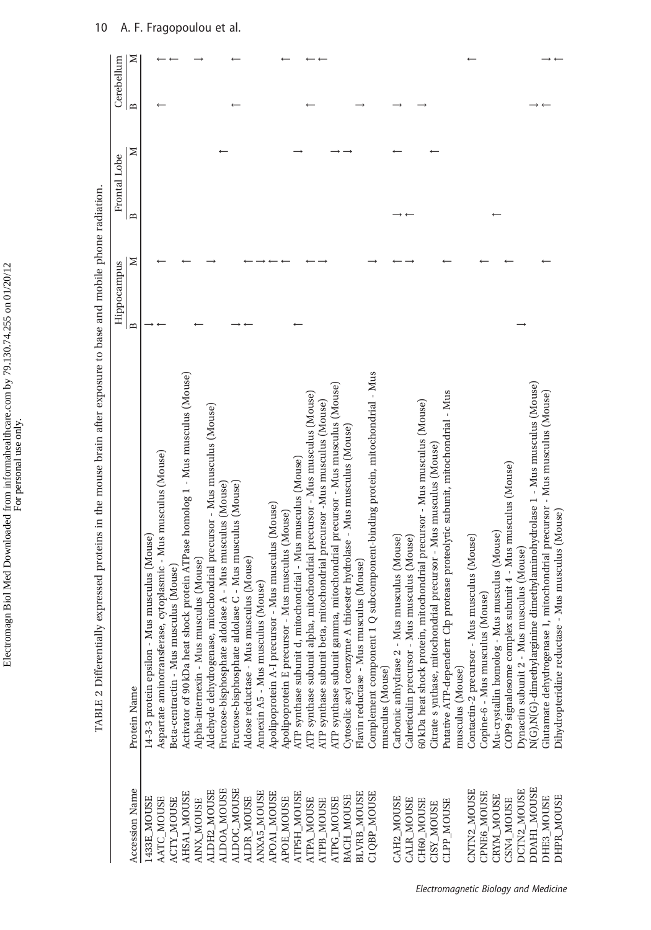|                    |                                                                                   | Hippocampus  |   | Frontal Lobe |   | Cerebellum   |   |
|--------------------|-----------------------------------------------------------------------------------|--------------|---|--------------|---|--------------|---|
| Accession Name     | Protein Name                                                                      | $\mathbf{B}$ | ⋝ | $\mathbf{B}$ | ⋝ | $\mathbf{B}$ | ⊠ |
| 1433E_MOUSE        | Mus musculus (Mouse)<br>14-3-3 protein epsilon                                    |              |   |              |   |              |   |
| AATC_MOUSE         | Aspartate aminotransferase, cytoplasmic - Mus musculus (Mouse)                    |              |   |              |   |              |   |
| <b>ACTY_MOUSE</b>  | Beta-centractin - Mus musculus (Mouse)                                            |              |   |              |   |              |   |
| AHSA1_MOUSE        | shock protein ATPase homolog 1 - Mus musculus (Mouse)<br>Activator of 90 kDa heat |              |   |              |   |              |   |
| <b>AINX MOUSE</b>  | musculus (Mouse)<br>Alpha-internexin - Mus                                        |              |   |              |   |              |   |
| ALDH2_MOUSE        | Aldehyde dehydrogenase, mitochondrial precursor - Mus musculus (Mouse)            |              |   |              |   |              |   |
| ALDOA_MOUSE        | Fructose-bisphosphate aldolase A - Mus musculus (Mouse)                           |              |   |              |   |              |   |
| ALDOC_MOUSE        | Fructose-bisphosphate aldolase C - Mus musculus (Mouse)                           |              |   |              |   |              |   |
| ALDR_MOUSE         | Aldose reductase - Mus musculus (Mouse)                                           |              |   |              |   |              |   |
| ANXA5_MOUSE        | Annexin A5 - Mus musculus (Mouse)                                                 |              |   |              |   |              |   |
| APOA1_MOUSE        | Apolipoprotein A-I precursor - Mus musculus (Mouse)                               |              |   |              |   |              |   |
| APOE_MOUSE         | Apolipoprotein E precursor - Mus musculus (Mouse)                                 |              |   |              |   |              |   |
| ATP5H MOUSE        | ATP synthase subunit d, mitochondrial - Mus musculus (Mouse)                      |              |   |              |   |              |   |
| ATPA_MOUSE         | ATP synthase subunit alpha, mitochondrial precursor - Mus musculus (Mouse)        |              |   |              |   |              |   |
| ATPB_MOUSE         | ATP synthase subunit beta, mitochondrial precursor -Mus musculus (Mouse)          |              |   |              |   |              |   |
| ATPG_MOUSE         | ATP synthase subunit gamma, mitochondrial precursor - Mus musculus (Mouse)        |              |   |              |   |              |   |
| BACH_MOUSE         | A thioester hydrolase - Mus musculus (Mouse)<br>Cytosolic acyl coenzyme           |              |   |              |   |              |   |
| <b>BLVRB MOUSE</b> | musculus (Mouse)<br>Flavin reductase - Mus                                        |              |   |              |   |              |   |
| C1QBP_MOUSE        | Complement component 1 Q subcomponent-binding protein, mitochondrial - Mus        |              |   |              |   |              |   |
|                    | musculus (Mouse)                                                                  |              |   |              |   |              |   |
| CAH2_MOUSE         | Mus musculus (Mouse)<br>Carbonic anhydrase 2 -                                    |              |   |              |   |              |   |
| CALR_MOUSE         | Mus musculus (Mouse)<br>Calreticulin precursor -                                  |              |   |              |   |              |   |
| CH60_MOUSE         | 50 kDa heat shock protein, mitochondrial precursor - Mus musculus (Mouse)         |              |   |              |   |              |   |
| <b>CISY_MOUSE</b>  | Citrate s ynthase, mitochondrial precursor - Mus musculus (Mouse)                 |              |   |              |   |              |   |
| <b>CLPP_MOUSE</b>  | Clp protease proteolytic subunit, mitochondrial - Mus<br>Putative ATP-dependent   |              |   |              |   |              |   |
|                    | musculus (Mouse)                                                                  |              |   |              |   |              |   |
| CNTN2 MOUSE        | Mus musculus (Mouse)<br>Contactin-2 precursor -                                   |              |   |              |   |              |   |
| CPNE6_MOUSE        | Copine-6 - Mus musculus (Mouse)                                                   |              |   |              |   |              |   |
| CRYM_MOUSE         | Mu-crystallin homolog - Mus musculus (Mouse)                                      |              |   |              |   |              |   |
| CSN4_MOUSE         | COP9 signalosome complex subunit 4 - Mus musculus (Mouse)                         |              |   |              |   |              |   |
| DCTN2_MOUSE        | Ovnactin subunit 2 - Mus musculus (Mouse)                                         |              |   |              |   |              |   |
| DDAH1 MOUSE        | N(G)-dimethylarginine dimethylaminohydrolase 1 - Mus musculus (Mouse)             |              |   |              |   |              |   |
| DHE3_MOUSE         | - Mus musculus (Mouse)<br>Glutamate dehydrogenase 1, mitochondrial precursor      |              |   |              |   |              |   |
| DHPR_MOUSE         | Dihydropteridine reductase - Mus musculus (Mouse)                                 |              |   |              |   |              |   |

TABLE 2 Differentially expressed proteins in the mouse brain after exposure to base and mobile phone radiation. TABLE 2 Differentially expressed proteins in the mouse brain after exposure to base and mobile phone radiation.

Electromagn Biol Med Downloaded from informahealthcare.com by 79.130.74.255 on 01/20/12 For personal use only.

Electromagn Biol Med Downloaded from informahealthcare.com by 79.130.74.255 on 01/20/12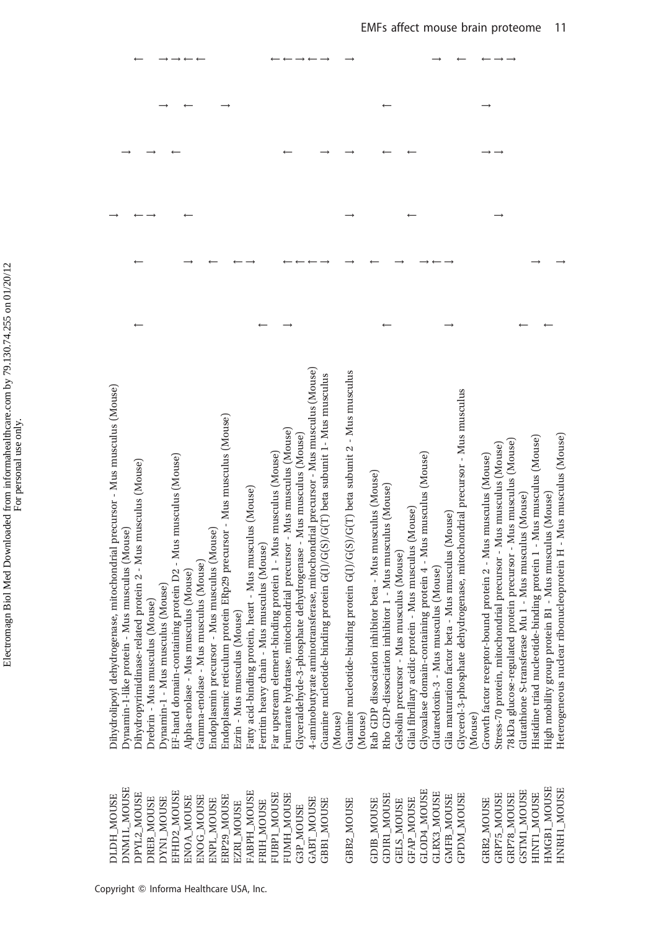| Dihydrolipoyl dehydrogenase, mitochondrial precursor - Mus musculus (Mouse)<br>Dynamin-1-like protein - Mus musculus (Mouse) | Dihydropyrimidinase-related protein 2 - Mus musculus (Mouse)<br>Drebrin - Mus musculus (Mouse) | EF-hand domain-containing protein D2 - Mus musculus (Mouse)<br>Dynamin-1 - Mus musculus (Mouse) | Alpha-enolase - Mus musculus (Mouse) | Gamma-enolase - Mus musculus (Mouse) | Endoplasmin precursor - Mus musculus (Mouse) | Endoplasmic reticulum protein ERp29 precursor - Mus musculus (Mouse) | Ezrin - Mus musculus (Mouse) | Fatty acid-binding protein, heart - Mus musculus (Mouse) | Mus musculus (Mouse)<br>Ferritin heavy chain - | Far upstream element-binding protein 1 - Mus musculus (Mouse) | Fumarate hydratase, mitochondrial precursor - Mus musculus (Mouse) | Glyceraldehyde-3-phosphate dehydrogenase - Mus musculus (Mouse) | 4-aminobutyrate aminotransferase, mitochondrial precursor - Mus musculus (Mouse) | inding protein G(I)/G(S)/G(T) beta subunit 1- Mus musculus<br>Guanine nucleotide-bi | (Mouse) | Guanine nucleotide-binding protein G(I)/G(S)/G(T) beta subunit 2 - Mus musculus | (Mouse) | inhibitor beta - Mus musculus (Mouse)<br>Rab GDP dissociation | Rho GDP-dissociation inhibitor 1 - Mus musculus (Mouse) | Gelsolin precursor - Mus musculus (Mouse)<br>Gilal fibrillary acidic protein - Mus musculus (Mouse) |                   | Glyoxalase domain-containing protein 4 - Mus musculus (Mouse) | Glutaredoxin-3 - Mus musculus (Mouse) | beta - Mus musculus (Mouse)<br>Glia maturation factor | dehydrogenase, mitochondrial precursor - Mus musculus<br>Glycerol-3-phosphate | (Mouse) | Growth factor receptor-bound protein 2 - Mus musculus (Mouse) | Stress-70 protein, mitochondrial precursor - Mus musculus (Mouse) | 78 kDa glucose-regulated protein precursor - Mus musculus (Mouse) | Glutathione S-transferase Mu 1 - Mus musculus (Mouse) | Histidine triad nucleotide-binding protein 1 - Mus musculus (Mouse) | High mobility group protein B1 - Mus musculus (Mouse) | Heterogeneous nuclear ribonucleoprotein H - Mus musculus (Mouse) |
|------------------------------------------------------------------------------------------------------------------------------|------------------------------------------------------------------------------------------------|-------------------------------------------------------------------------------------------------|--------------------------------------|--------------------------------------|----------------------------------------------|----------------------------------------------------------------------|------------------------------|----------------------------------------------------------|------------------------------------------------|---------------------------------------------------------------|--------------------------------------------------------------------|-----------------------------------------------------------------|----------------------------------------------------------------------------------|-------------------------------------------------------------------------------------|---------|---------------------------------------------------------------------------------|---------|---------------------------------------------------------------|---------------------------------------------------------|-----------------------------------------------------------------------------------------------------|-------------------|---------------------------------------------------------------|---------------------------------------|-------------------------------------------------------|-------------------------------------------------------------------------------|---------|---------------------------------------------------------------|-------------------------------------------------------------------|-------------------------------------------------------------------|-------------------------------------------------------|---------------------------------------------------------------------|-------------------------------------------------------|------------------------------------------------------------------|
| DNM1L_MOUSE<br>DLDH MOUSE                                                                                                    | DPYL2_MOUSE<br>DREB_MOUSE                                                                      | EFHD2_MOUSE<br>DYN1_MOUSE                                                                       | ENOA_MOUSE                           | ENOG_MOUSE                           | ENPL_MOUSE                                   | ERP29_MOUSE                                                          | EZRI_MOUSE                   | FABPH MOUSE                                              | FRIH_MOUSE                                     | FUBP1_MOUSE                                                   | FUMH_MOUSE                                                         | G3P_MOUSE                                                       | <b>GABT_MOUSE</b>                                                                | <b>GBB1_MOUSE</b>                                                                   |         | GBB2_MOUSE                                                                      |         | <b>GDIB_MOUSE</b>                                             | GDIR1_MOUSE                                             | <b>GELS_MOUSE</b>                                                                                   | <b>GFAP_MOUSE</b> | GLOD4_MOUSE                                                   | <b>GLRX3_MOUSE</b>                    | <b>GMFB MOUSE</b>                                     | <b>GPDM MOUSE</b>                                                             |         | GRB2_MOUSE                                                    | GRP75_MOUSE                                                       | GRP78_MOUSE                                                       | <b>GSTM1_MOUSE</b>                                    | HINTI_MOUSE                                                         | HMGB1_MOUSE                                           | HNRH1_MOUSE                                                      |

 $\leftarrow \leftarrow \rightarrow \leftarrow \rightarrow$ 

 $\longrightarrow$ 

 $\leftarrow$ 

 $\rightarrow \rightarrow \leftarrow \leftarrow$ 

 $\longleftrightarrow$   $\rightarrow$ 

 $\rightarrow$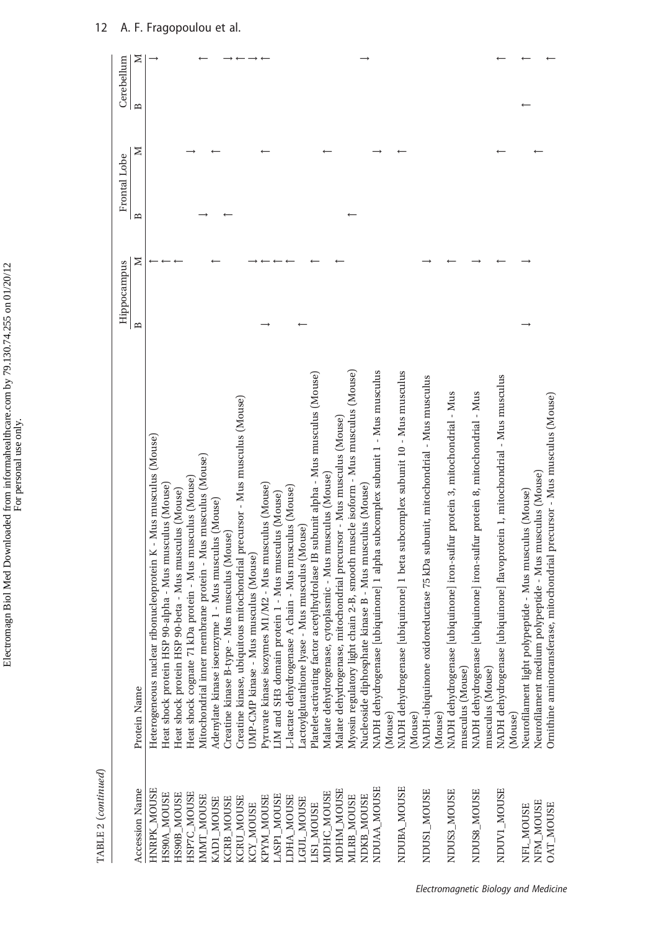|                       |                                                                                                                                                                                                         | Hippocampus |   | Frontal Lobe |   | Cerebellum |   |
|-----------------------|---------------------------------------------------------------------------------------------------------------------------------------------------------------------------------------------------------|-------------|---|--------------|---|------------|---|
| <b>Accession Name</b> | Protein Name                                                                                                                                                                                            | ≏           | ≍ | m            | ⊠ | B          | Z |
| HNRPK MOUSE           | ribonucleoprotein K - Mus musculus (Mouse)<br>Heterogeneous nuclear                                                                                                                                     |             |   |              |   |            |   |
| HS90A_MOUSE           | 90-alpha - Mus musculus (Mouse)<br>Heat shock protein HSP                                                                                                                                               |             |   |              |   |            |   |
| HS90B_MOUSE           | 90-beta - Mus musculus (Mouse)<br>Heat shock protein HSP                                                                                                                                                |             |   |              |   |            |   |
| HSP7C_MOUSE           | Heat shock cognate 71 kDa protein - Mus musculus (Mouse)                                                                                                                                                |             |   |              |   |            |   |
| IMMT_MOUSE            | Mitochondrial inner membrane protein - Mus musculus (Mouse)                                                                                                                                             |             |   |              |   |            |   |
| KAD1_MOUSE            | Adenylate kinase isoenzyme 1 - Mus musculus (Mouse)                                                                                                                                                     |             |   |              |   |            |   |
| KCRB_MOUSE            | Mus musculus (Mouse)<br>Creatine kinase B-type -                                                                                                                                                        |             |   |              |   |            |   |
| KCRU MOUSE            | Greatine kinase, ubiquitous mitochondrial precursor - Mus musculus (Mouse)                                                                                                                              |             |   |              |   |            |   |
| KCY_MOUSE             | JMP-CMP kinase - Mus musculus (Mouse)                                                                                                                                                                   |             |   |              |   |            |   |
| KPYM_MOUSE            | Pyruvate kinase isozymes M1/M2 - Mus musculus (Mouse)                                                                                                                                                   |             |   |              |   |            |   |
| LASP1_MOUSE           | LIM and SH3 domain protein 1 - Mus musculus (Mouse)                                                                                                                                                     |             |   |              |   |            |   |
| <b>JDHA_MOUSE</b>     | A chain - Mus musculus (Mouse)<br>L-lactate dehydrogenase                                                                                                                                               |             |   |              |   |            |   |
| LGUL_MOUSE            | - Mus musculus (Mouse)<br>actoylglutathione lyase                                                                                                                                                       |             |   |              |   |            |   |
| <b>LIS1_MOUSE</b>     | acetylhydrolase IB subunit alpha - Mus musculus (Mouse)<br>Platelet-activating factor                                                                                                                   |             |   |              |   |            |   |
| MDHC_MOUSE            | cytoplasmic - Mus musculus (Mouse)<br>Malate dehydrogenase,                                                                                                                                             |             |   |              |   |            |   |
| MDHM_MOUSE            | mitochondrial precursor - Mus musculus (Mouse)<br>Malate dehydrogenase,                                                                                                                                 |             |   |              |   |            |   |
| MLRB_MOUSE            | Myosin regulatory light chain 2-B, smooth muscle isoform - Mus musculus (Mouse)                                                                                                                         |             |   |              |   |            |   |
| NDKB MOUSE            |                                                                                                                                                                                                         |             |   |              |   |            |   |
| NDUAA_MOUSE           | Nucleoside diphosphate kinase B - Mus muscuus vwwwe-<br>, $\label{eq:submin} \begin{array}{l} \text{NuDH dehydrogenase (ubiquinone)} 1 \text{ alpha subcomplex subunit 1 - Mus musculus}\\ \end{array}$ |             |   |              |   |            |   |
|                       |                                                                                                                                                                                                         |             |   |              |   |            |   |
| NDUBA_MOUSE           | NADH dehydrogenase [ubiquinone] 1 beta subcomplex subunit 10 - Mus musculus (Mouse)                                                                                                                     |             |   |              |   |            |   |
| NDUS1_MOUSE           | NADH-ubiquinone oxidoreductase 75 kDa subunit, mitochondrial - Mus musculus<br>(Mouse)                                                                                                                  |             |   |              |   |            |   |
| NDUS3_MOUSE           | NADH dehydrogenase [ubiquinone] iron-sulfur protein 3, mitochondrial - Mus                                                                                                                              |             |   |              |   |            |   |
|                       | musculus (Mouse)                                                                                                                                                                                        |             |   |              |   |            |   |
| NDUS8_MOUSE           | NADH dehydrogenase [ubiquinone] iron-sulfur protein 8, mitochondrial - Mus                                                                                                                              |             |   |              |   |            |   |
|                       | musculus (Mouse)                                                                                                                                                                                        |             |   |              |   |            |   |
| NDUV1_MOUSE           | NADH dehydrogenase [ubiquinone] flavoprotein 1, mitochondrial - Mus musculus                                                                                                                            |             |   |              |   |            |   |
|                       | (Mouse)                                                                                                                                                                                                 |             |   |              |   |            |   |
| NFL_MOUSE             | Neurofilament light polypeptide - Mus musculus (Mouse)                                                                                                                                                  |             |   |              |   |            |   |
| NFM_MOUSE             | polypeptide - Mus musculus (Mouse)<br>Neurofilament medium                                                                                                                                              |             |   |              |   |            |   |
| <b>OAT_MOUSE</b>      | Ornithine aminotransferase, mitochondrial precursor - Mus musculus (Mouse)                                                                                                                              |             |   |              |   |            |   |

TABLE 2 (continued)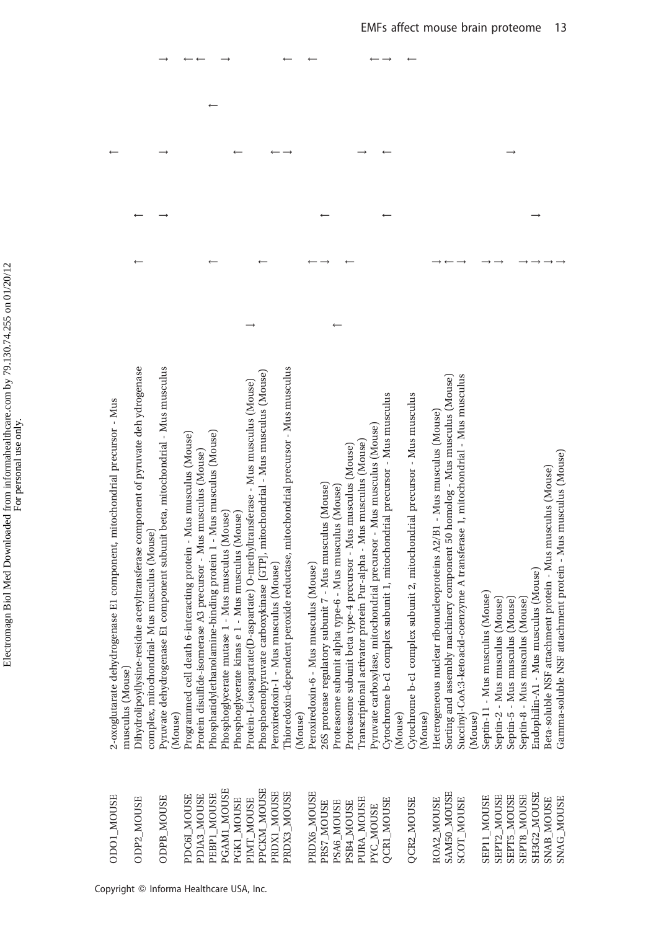| <b>CDOL_MOUSE</b>          | genase E1 component, mitochondrial precursor - Mus<br>2-oxoglutarate dehydro                                                                        |  |  |  |
|----------------------------|-----------------------------------------------------------------------------------------------------------------------------------------------------|--|--|--|
|                            | musculus (Mouse)                                                                                                                                    |  |  |  |
| ODP2_MOUSE                 | Dihydrolipoyllysine-residue acetyltransferase component of pyruvate deh ydrogenase<br>complex, mitochondrial- Mus musculus (Mouse)                  |  |  |  |
| <b>ODPB MOUSE</b>          | Pyruvate dehydrogenase E1 component subunit beta, mitochondrial - Mus musculus<br>(Mouse)                                                           |  |  |  |
| PDC6I_MOUSE                | Programmed cell death 6-interacting protein - Mus musculus (Mouse)                                                                                  |  |  |  |
| PDIA3_MOUSE<br>PEBP1_MOUSE | Phosphatidylethanolamine-binding protein 1 - Mus musculus (Mouse)<br>Protein disulfide-isomerase A3 precursor - Mus musculus (Mouse)                |  |  |  |
| PGAMI_MOUSE                | Phosphoglycerate mutase 1 - Mus musculus (Mouse)                                                                                                    |  |  |  |
| PGK1_MOUSE                 | Phosphoglycerate kinas e 1 - Mus musculus (Mouse)                                                                                                   |  |  |  |
| PIMT MOUSE                 | Protein-L-isoaspartate(D-aspartate) O-methyltransferase - Mus musculus (Mouse)                                                                      |  |  |  |
| PPCKM_MOUSE                | Phosphoenolpyruvate carboxykinase [GTP], mitochondrial - Mus musculus (Mouse)                                                                       |  |  |  |
| PRDX1_MOUSE<br>PRDX3_MOUSE | musculus (Mouse)<br>Peroxiredoxin-1 - Mus                                                                                                           |  |  |  |
|                            | Thioredoxin-dependent peroxide reductase, mitochondrial precursor - Mus musculus<br>(Mouse)                                                         |  |  |  |
| PRDX6 MOUSE                | musculus (Mouse)<br>Peroxiredoxin-6 - Mus                                                                                                           |  |  |  |
| PRS7_MOUSE                 | 26S protease regulatory subunit 7 - Mus musculus (Mouse)                                                                                            |  |  |  |
| PSA6_MOUSE                 | Proteasome subunit alpha type-6 - Mus musculus (Mouse)                                                                                              |  |  |  |
| PSB4_MOUSE                 | Proteasome subunit beta type-4 precursor - Mus musculus (Mouse)                                                                                     |  |  |  |
| PURA_MOUSE                 | Transcriptional activator protein Pur-alpha - Mus musculus (Mouse)                                                                                  |  |  |  |
| PYC_MOUSE                  | Pyruvate carboxylase, mitochondrial precursor - Mus musculus (Mouse)                                                                                |  |  |  |
| <b>QCRI_MOUSE</b>          | Cytochrome b-c1 complex subunit 1, mitochondrial precursor - Mus musculus<br>(Mouse)                                                                |  |  |  |
| QCR2_MOUSE                 | Cytochrome b-c1 complex subunit 2, mitochondrial precursor - Mus musculus                                                                           |  |  |  |
|                            | (Mouse)                                                                                                                                             |  |  |  |
| SAM50_MOUSE<br>ROA2_MOUSE  | Sorting and assembly machinery component 50 homolog - Mus musculus (Mouse)<br>Heterogeneous nuclear ribonucleoproteins A2/B1 - Mus musculus (Mouse) |  |  |  |
| <b>SCOT_MOUSE</b>          | Succinyl-CoA:3-ketoacid-coenzyme A transferase 1, mitochondrial - Mus musculus                                                                      |  |  |  |
|                            | (Mouse)                                                                                                                                             |  |  |  |
| SEP11_MOUSE                | Septin-11 - Mus musculus (Mouse)                                                                                                                    |  |  |  |
| SEPT2_MOUSE                | Septin-2 - Mus musculus (Mouse)                                                                                                                     |  |  |  |
| <b>SEPT5_MOUSE</b>         | Septin-5 - Mus musculus (Mouse)                                                                                                                     |  |  |  |
| <b>SEPT8_MOUSE</b>         | Septin-8 - Mus musculus (Mouse)                                                                                                                     |  |  |  |
| SH3G2_MOUSE                | Endophilin-A1 - Mus musculus (Mouse)                                                                                                                |  |  |  |
| <b>SNAB_MOUSE</b>          | Beta-soluble NSF attachment protein - Mus musculus (Mouse)                                                                                          |  |  |  |
| <b>SNAG_MOUSE</b>          | Gamma-soluble NSF attachment protein - Mus musculus (Mouse)                                                                                         |  |  |  |

 $\leftarrow$   $\rightarrow$ 

Copyright © Informa Healthcare USA, Inc.

 $\rightarrow$ 

 $\leftarrow \leftarrow \quad \rightarrow$ 

 $\leftarrow$   $\leftarrow$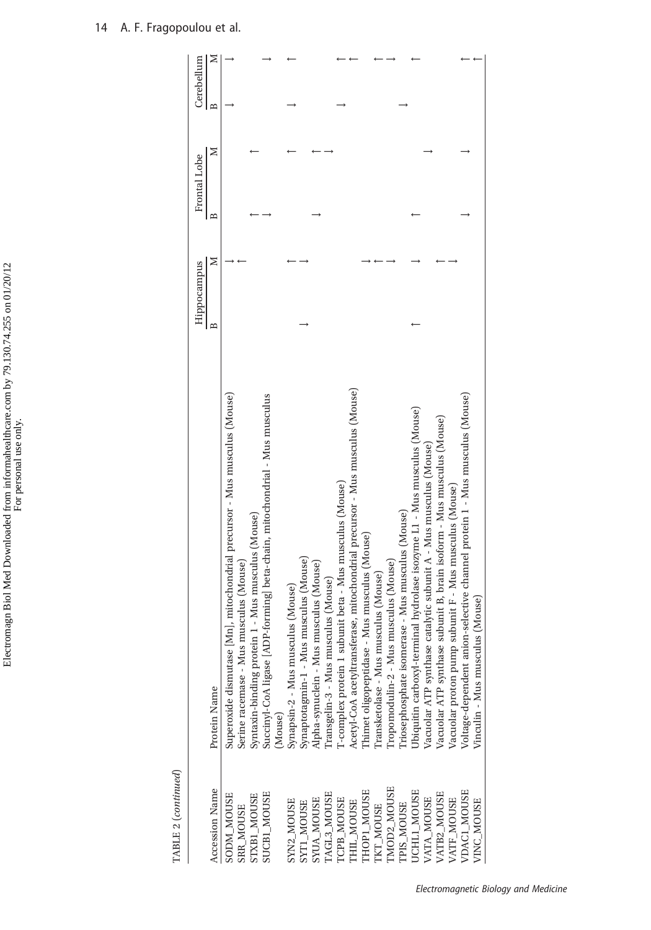| TABLE 2 (continued) |                                                                              |              |   |              |   |                   |
|---------------------|------------------------------------------------------------------------------|--------------|---|--------------|---|-------------------|
|                     |                                                                              | Hippocampus  |   | Frontal Lobe |   | Cerebellum        |
| Accession Name      | Protein Name                                                                 | $\mathbf{r}$ | ⊠ | $\mathbf{r}$ | Σ | Σ<br>$\mathbf{B}$ |
| SODM_MOUSE          | Superoxide dismutase [Mn], mitochondrial precursor - Mus musculus (Mouse)    |              |   |              |   |                   |
| <b>SRR_MOUSE</b>    | musculus (Mouse)<br>Serine racemase - Mus                                    |              |   |              |   |                   |
| <b>STXB1_MOUSE</b>  | n 1 - Mus musculus (Mouse)<br>Syntaxin-binding protein                       |              |   |              |   |                   |
| SUCB1_MOUSE         | Succinyl-CoA ligase [ADP-forming] beta-chain, mitochondrial - Mus musculus   |              |   |              |   |                   |
|                     | Mouse)                                                                       |              |   |              |   |                   |
| SYN2_MOUSE          | Synapsin-2 - Mus musculus (Mouse)                                            |              |   |              |   |                   |
| <b>SYT1_MOUSE</b>   | Synaptotagmin-1 - Mus musculus (Mouse)                                       |              |   |              |   |                   |
| <b>SYUA MOUSE</b>   | Alpha-synuclein - Mus musculus (Mouse)                                       |              |   |              |   |                   |
| TAGL3_MOUSE         | ransgelin-3 - Mus musculus (Mouse)                                           |              |   |              |   |                   |
| TCPB_MOUSE          | [-complex protein 1 subunit beta - Mus musculus (Mouse)                      |              |   |              |   |                   |
| HIL_MOUSE           | Acetyl-CoA acetyltransferase, mitochondrial precursor - Mus musculus (Mouse) |              |   |              |   |                   |
| HOP1 MOUSE          | Thimet oligopeptidase - Mus musculus (Mouse)                                 |              |   |              |   |                   |
| KT_MOUSE            | [ransketolase - Mus musculus (Mouse)                                         |              |   |              |   |                   |
| MOD2 MOUSE          | Tropomodulin-2 - Mus musculus (Mouse)                                        |              |   |              |   |                   |
| <b>TPIS MOUSE</b>   | riosephosphate isomerase - Mus musculus (Mouse)                              |              |   |              |   |                   |
| UCHLI_MOUSE         | Jbiquitin carboxyl-terminal hydrolase isozyme L1 - Mus musculus (Mouse)      |              |   |              |   |                   |
| VATA_MOUSE          | Vacuolar ATP synthase catalytic subunit A - Mus musculus (Mouse)             |              |   |              |   |                   |
| VATB2_MOUSE         | Vacuolar ATP synthase subunit B, brain isoform - Mus musculus (Mouse)        |              |   |              |   |                   |
| VATF_MOUSE          | subunit F - Mus musculus (Mouse)<br>Jacuolar proton pump s                   |              |   |              |   |                   |
| <b>VDAC1 MOUSE</b>  | Voltage-dependent anion-selective channel protein 1 - Mus musculus (Mouse)   |              |   |              |   |                   |
| VINC_MOUSE          | Vinculin - Mus musculus (Mouse)                                              |              |   |              |   |                   |
|                     |                                                                              |              |   |              |   |                   |

Electromagn Biol Med Downloaded from informahealthcare.com by 79.130.74.255 on 01/20/12 Electromagn Biol Med Downloaded from informahealthcare.com by 79.130.74.255 on 01/20/12 For personal use only.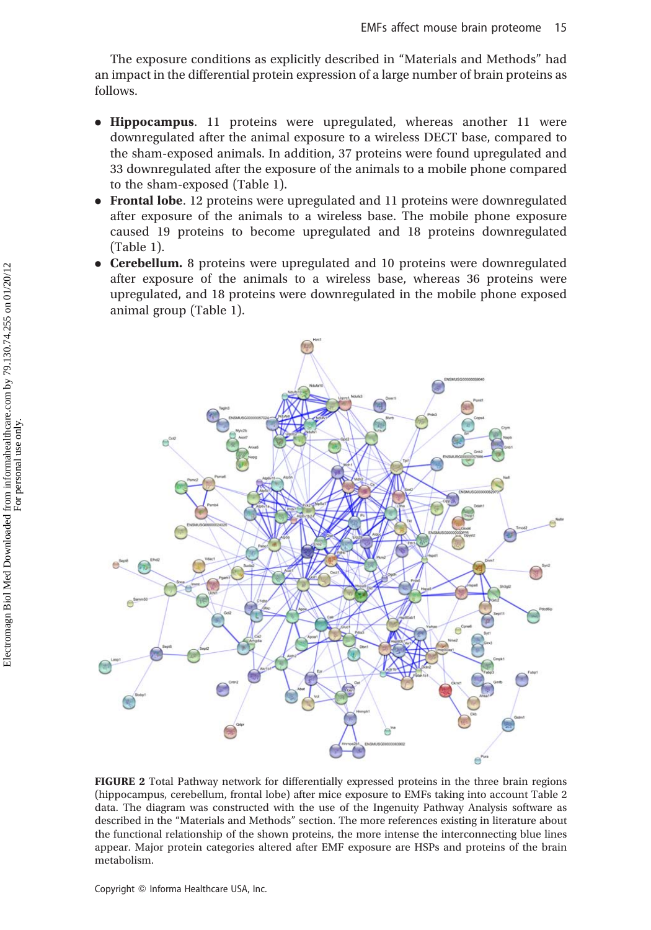The exposure conditions as explicitly described in "Materials and Methods" had an impact in the differential protein expression of a large number of brain proteins as follows.

- . Hippocampus. 11 proteins were upregulated, whereas another 11 were downregulated after the animal exposure to a wireless DECT base, compared to the sham-exposed animals. In addition, 37 proteins were found upregulated and 33 downregulated after the exposure of the animals to a mobile phone compared to the sham-exposed (Table 1).
- . Frontal lobe. 12 proteins were upregulated and 11 proteins were downregulated after exposure of the animals to a wireless base. The mobile phone exposure caused 19 proteins to become upregulated and 18 proteins downregulated (Table 1).
- . Cerebellum. 8 proteins were upregulated and 10 proteins were downregulated after exposure of the animals to a wireless base, whereas 36 proteins were upregulated, and 18 proteins were downregulated in the mobile phone exposed animal group (Table 1).



FIGURE 2 Total Pathway network for differentially expressed proteins in the three brain regions (hippocampus, cerebellum, frontal lobe) after mice exposure to EMFs taking into account Table 2 data. The diagram was constructed with the use of the Ingenuity Pathway Analysis software as described in the "Materials and Methods" section. The more references existing in literature about the functional relationship of the shown proteins, the more intense the interconnecting blue lines appear. Major protein categories altered after EMF exposure are HSPs and proteins of the brain metabolism.

Copyright © Informa Healthcare USA, Inc.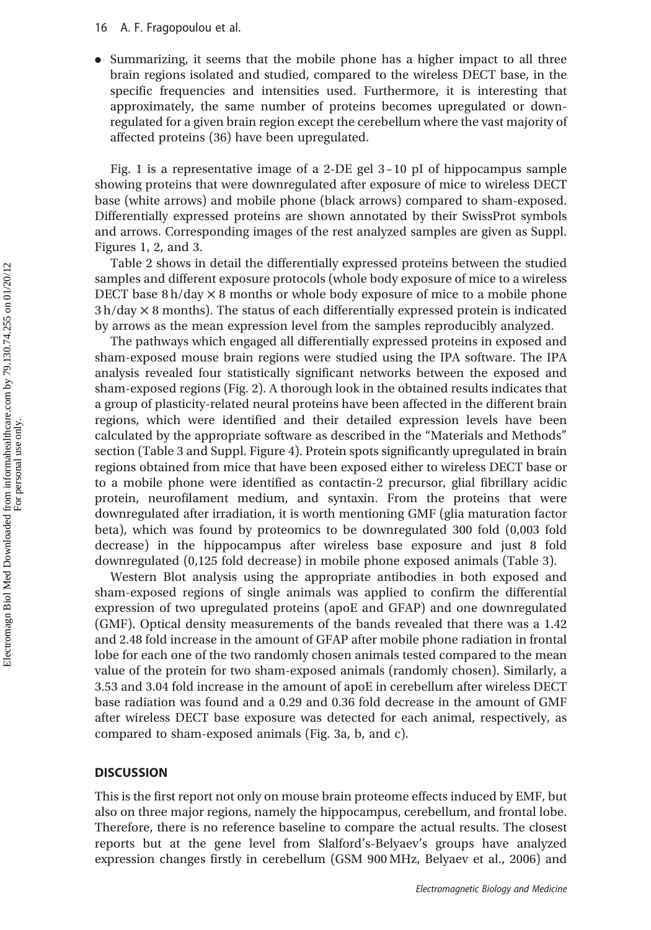. Summarizing, it seems that the mobile phone has a higher impact to all three brain regions isolated and studied, compared to the wireless DECT base, in the specific frequencies and intensities used. Furthermore, it is interesting that approximately, the same number of proteins becomes upregulated or downregulated for a given brain region except the cerebellum where the vast majority of affected proteins (36) have been upregulated.

Fig. 1 is a representative image of a 2-DE gel 3–10 pI of hippocampus sample showing proteins that were downregulated after exposure of mice to wireless DECT base (white arrows) and mobile phone (black arrows) compared to sham-exposed. Differentially expressed proteins are shown annotated by their SwissProt symbols and arrows. Corresponding images of the rest analyzed samples are given as Suppl. Figures 1, 2, and 3.

Table 2 shows in detail the differentially expressed proteins between the studied samples and different exposure protocols (whole body exposure of mice to a wireless DECT base  $8 h/day \times 8$  months or whole body exposure of mice to a mobile phone  $3 h/day \times 8$  months). The status of each differentially expressed protein is indicated by arrows as the mean expression level from the samples reproducibly analyzed.

The pathways which engaged all differentially expressed proteins in exposed and sham-exposed mouse brain regions were studied using the IPA software. The IPA analysis revealed four statistically significant networks between the exposed and sham-exposed regions (Fig. 2). A thorough look in the obtained results indicates that a group of plasticity-related neural proteins have been affected in the different brain regions, which were identified and their detailed expression levels have been calculated by the appropriate software as described in the "Materials and Methods" section (Table 3 and Suppl. Figure 4). Protein spots significantly upregulated in brain regions obtained from mice that have been exposed either to wireless DECT base or to a mobile phone were identified as contactin-2 precursor, glial fibrillary acidic protein, neurofilament medium, and syntaxin. From the proteins that were downregulated after irradiation, it is worth mentioning GMF (glia maturation factor beta), which was found by proteomics to be downregulated 300 fold (0,003 fold decrease) in the hippocampus after wireless base exposure and just 8 fold downregulated (0,125 fold decrease) in mobile phone exposed animals (Table 3).

Western Blot analysis using the appropriate antibodies in both exposed and sham-exposed regions of single animals was applied to confirm the differential expression of two upregulated proteins (apoE and GFAP) and one downregulated (GMF). Optical density measurements of the bands revealed that there was a 1.42 and 2.48 fold increase in the amount of GFAP after mobile phone radiation in frontal lobe for each one of the two randomly chosen animals tested compared to the mean value of the protein for two sham-exposed animals (randomly chosen). Similarly, a 3.53 and 3.04 fold increase in the amount of apoE in cerebellum after wireless DECT base radiation was found and a 0.29 and 0.36 fold decrease in the amount of GMF after wireless DECT base exposure was detected for each animal, respectively, as compared to sham-exposed animals (Fig. 3a, b, and c).

## **DISCUSSION**

This is the first report not only on mouse brain proteome effects induced by EMF, but also on three major regions, namely the hippocampus, cerebellum, and frontal lobe. Therefore, there is no reference baseline to compare the actual results. The closest reports but at the gene level from Slalford's-Belyaev's groups have analyzed expression changes firstly in cerebellum (GSM 900 MHz, Belyaev et al., 2006) and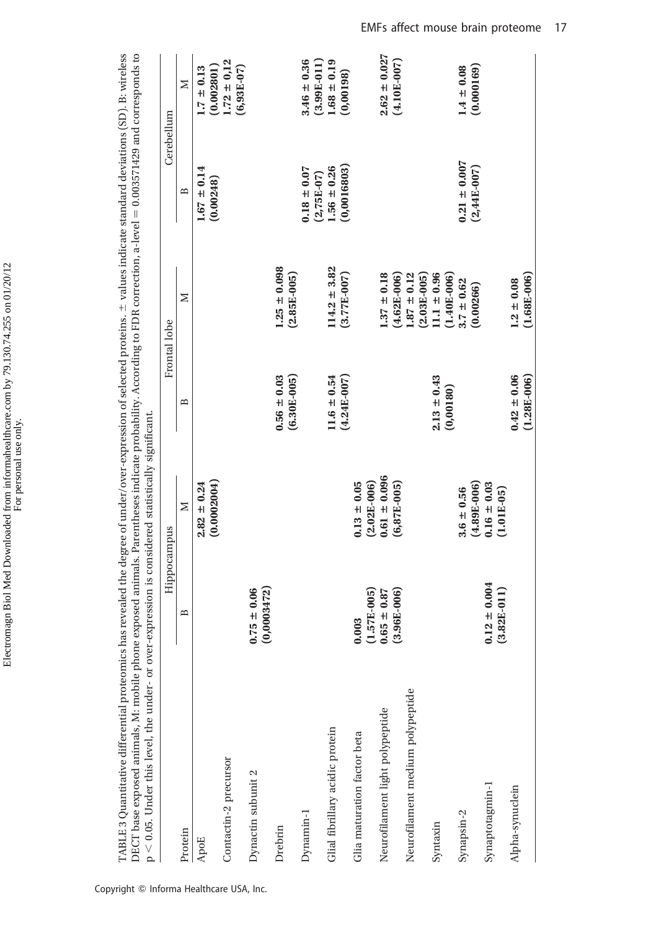| http://2012074.055.org/100/10<br>:<br>ì<br>$\sim$<br>i<br>ļ | Hor perconal use only<br>ı |
|-------------------------------------------------------------|----------------------------|
|                                                             |                            |
| İ                                                           |                            |

TABLE 3 Quantitative differential proteomics has revealed the degree of under/over-expression of selected proteins. TABLE 3 Quantitative differential proteomics has revealed the degree of under/over-expression of selected proteins.  $\pm$  values indicate standard deviations (SD). B: wireless  $\pm$  values indicate standard deviations (SD). B: wireless DECT base exposed animals, M: mobile phone exposed animals. Parentheses indicate probability. According to FDR correction, a-level 0.003571429 and corresponds to  $p < 0.05$ . Under this level, the under- or over-expression is considered statistically significant.

| $\mathbf{p} \leq 0.0$ 5. Under this level, the under- $\alpha$ pression is considered statistically significant. |                                                                                              | Hippocampus                      |                                  | Frontal lobe                      |                                   | Cerebellum                      |
|------------------------------------------------------------------------------------------------------------------|----------------------------------------------------------------------------------------------|----------------------------------|----------------------------------|-----------------------------------|-----------------------------------|---------------------------------|
| Protein                                                                                                          | m<br>$\mathsf{l}$                                                                            | ≿                                | $\mathbf{r}$                     | Σ                                 | $\mathbf{B}$                      | ≿                               |
| ApoE                                                                                                             |                                                                                              | (0.0002004)<br>$2.82 \pm 0.24$   |                                  |                                   | $1.67 \pm 0.14$<br>(0.00248)      | $1.7 \pm 0.13$<br>(0.002801)    |
| Contactin-2 precursor                                                                                            |                                                                                              |                                  |                                  |                                   |                                   | $1.72 \pm 0.12$<br>$(6,93E-07)$ |
| Dynactin subunit 2                                                                                               | $0.75 \pm 0.06$<br>(0,0003472)                                                               |                                  |                                  |                                   |                                   |                                 |
| Drebrin                                                                                                          |                                                                                              |                                  | $(6.30E-005)$<br>$0.56 \pm 0.03$ | $1.25 \pm 0.098$<br>$(2.85E-005)$ |                                   |                                 |
| Dynamin-1                                                                                                        |                                                                                              |                                  |                                  |                                   | $0.18 \pm 0.07$                   | $3.46 \pm 0.36$                 |
|                                                                                                                  |                                                                                              |                                  |                                  |                                   | $(2,75E-07)$                      | $(3.99E-011)$                   |
| Glial fibrillary acidic protein                                                                                  |                                                                                              |                                  | $11.6 \pm 0.54$                  | $114.2 \pm 3.82$                  | $1.56 \pm 0.26$                   | $1.68 \pm 0.19$                 |
|                                                                                                                  |                                                                                              |                                  | $(4.24E-007)$                    | $(3.77E-007)$                     | (0,0016803)                       | (0,00198)                       |
| Glia maturation factor beta                                                                                      | 0.003                                                                                        | $(2.02E-006)$<br>$0.13 \pm 0.05$ |                                  |                                   |                                   |                                 |
| Neurofilament light polypeptide                                                                                  | $\begin{array}{c} (1.57\text{E}{-}005) \\ 0.65 \pm 0.87 \\ (3.96\text{E}{-}006) \end{array}$ | $0.61 \pm 0.096$                 |                                  | $1.37 \pm 0.18$                   |                                   | $2.62 \pm 0.027$                |
|                                                                                                                  |                                                                                              | $(6,87E-005)$                    |                                  | $(4.62E-006)$                     |                                   | $(4.10E - 007)$                 |
| Neurofilament medium polypeptide                                                                                 |                                                                                              |                                  |                                  | $.87 \pm 0.12$                    |                                   |                                 |
|                                                                                                                  |                                                                                              |                                  |                                  | $(2.03E-005)$                     |                                   |                                 |
| Syntaxin                                                                                                         |                                                                                              |                                  | $2.13 \pm 0.43$                  | $1.1 \pm 0.96$                    |                                   |                                 |
|                                                                                                                  |                                                                                              |                                  | (0,00180)                        | $(1.40E-006)$                     |                                   |                                 |
| Synapsin-2                                                                                                       |                                                                                              | $(4.89E-006)$<br>$3.6 \pm 0.56$  |                                  | $3.7 \pm 0.62$<br>(0.00266)       | $0.21 \pm 0.007$<br>$(2,44E-007)$ | (0.000169)<br>$1.4 \pm 0.08$    |
| Synaptotagmin-1                                                                                                  | $0.12 \pm 0.004$                                                                             | $0.16 \pm 0.03$                  |                                  |                                   |                                   |                                 |
|                                                                                                                  | $(3.82E-011)$                                                                                | $(1.01E-05)$                     |                                  |                                   |                                   |                                 |
| Alpha-synuclein                                                                                                  |                                                                                              |                                  | $0.42 \pm 0.06$                  | $1.2 \pm 0.08$                    |                                   |                                 |
|                                                                                                                  |                                                                                              |                                  | $(1.28E-006)$                    | $(1.68E-006)$                     |                                   |                                 |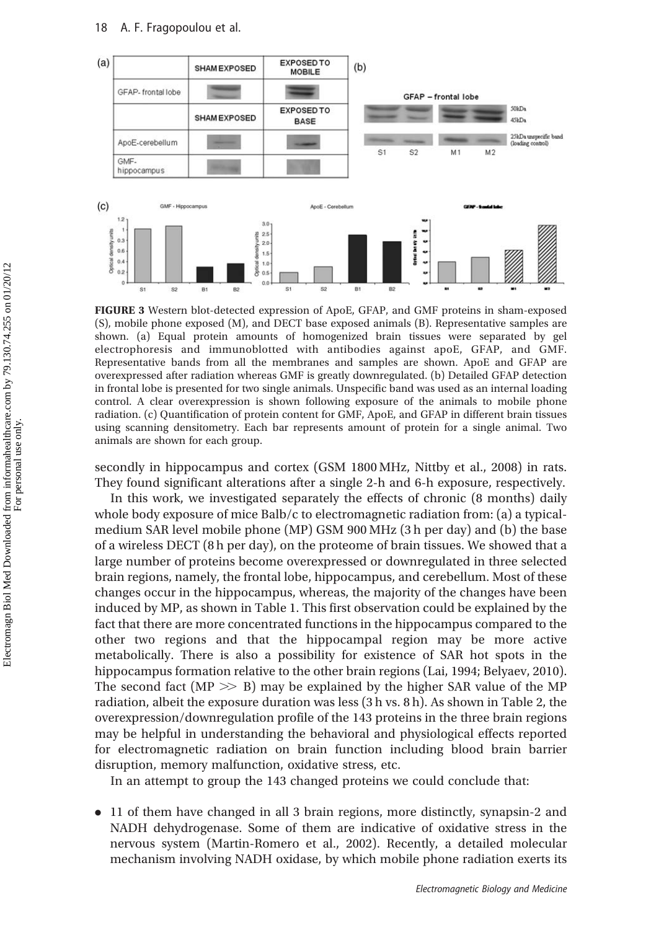

FIGURE 3 Western blot-detected expression of ApoE, GFAP, and GMF proteins in sham-exposed (S), mobile phone exposed (M), and DECT base exposed animals (B). Representative samples are shown. (a) Equal protein amounts of homogenized brain tissues were separated by gel electrophoresis and immunoblotted with antibodies against apoE, GFAP, and GMF. Representative bands from all the membranes and samples are shown. ApoE and GFAP are overexpressed after radiation whereas GMF is greatly downregulated. (b) Detailed GFAP detection in frontal lobe is presented for two single animals. Unspecific band was used as an internal loading control. A clear overexpression is shown following exposure of the animals to mobile phone radiation. (c) Quantification of protein content for GMF, ApoE, and GFAP in different brain tissues using scanning densitometry. Each bar represents amount of protein for a single animal. Two animals are shown for each group.

secondly in hippocampus and cortex (GSM 1800 MHz, Nittby et al., 2008) in rats. They found significant alterations after a single 2-h and 6-h exposure, respectively.

In this work, we investigated separately the effects of chronic (8 months) daily whole body exposure of mice Balb/c to electromagnetic radiation from: (a) a typicalmedium SAR level mobile phone (MP) GSM 900 MHz (3 h per day) and (b) the base of a wireless DECT (8 h per day), on the proteome of brain tissues. We showed that a large number of proteins become overexpressed or downregulated in three selected brain regions, namely, the frontal lobe, hippocampus, and cerebellum. Most of these changes occur in the hippocampus, whereas, the majority of the changes have been induced by MP, as shown in Table 1. This first observation could be explained by the fact that there are more concentrated functions in the hippocampus compared to the other two regions and that the hippocampal region may be more active metabolically. There is also a possibility for existence of SAR hot spots in the hippocampus formation relative to the other brain regions (Lai, 1994; Belyaev, 2010). The second fact ( $MP \gg B$ ) may be explained by the higher SAR value of the MP radiation, albeit the exposure duration was less (3 h vs. 8 h). As shown in Table 2, the overexpression/downregulation profile of the 143 proteins in the three brain regions may be helpful in understanding the behavioral and physiological effects reported for electromagnetic radiation on brain function including blood brain barrier disruption, memory malfunction, oxidative stress, etc.

In an attempt to group the 143 changed proteins we could conclude that:

. 11 of them have changed in all 3 brain regions, more distinctly, synapsin-2 and NADH dehydrogenase. Some of them are indicative of oxidative stress in the nervous system (Martin-Romero et al., 2002). Recently, a detailed molecular mechanism involving NADH oxidase, by which mobile phone radiation exerts its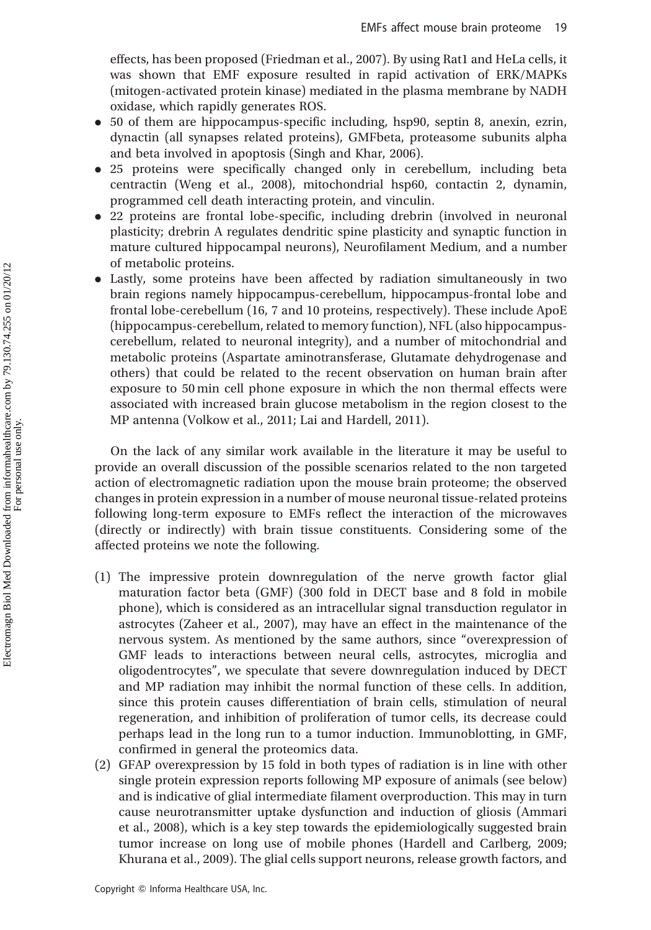effects, has been proposed (Friedman et al., 2007). By using Rat1 and HeLa cells, it was shown that EMF exposure resulted in rapid activation of ERK/MAPKs (mitogen-activated protein kinase) mediated in the plasma membrane by NADH oxidase, which rapidly generates ROS.

- . 50 of them are hippocampus-specific including, hsp90, septin 8, anexin, ezrin, dynactin (all synapses related proteins), GMFbeta, proteasome subunits alpha and beta involved in apoptosis (Singh and Khar, 2006).
- . 25 proteins were specifically changed only in cerebellum, including beta centractin (Weng et al., 2008), mitochondrial hsp60, contactin 2, dynamin, programmed cell death interacting protein, and vinculin.
- . 22 proteins are frontal lobe-specific, including drebrin (involved in neuronal plasticity; drebrin A regulates dendritic spine plasticity and synaptic function in mature cultured hippocampal neurons), Neurofilament Medium, and a number of metabolic proteins.
- . Lastly, some proteins have been affected by radiation simultaneously in two brain regions namely hippocampus-cerebellum, hippocampus-frontal lobe and frontal lobe-cerebellum (16, 7 and 10 proteins, respectively). These include ApoE (hippocampus-cerebellum, related to memory function), NFL (also hippocampuscerebellum, related to neuronal integrity), and a number of mitochondrial and metabolic proteins (Aspartate aminotransferase, Glutamate dehydrogenase and others) that could be related to the recent observation on human brain after exposure to 50 min cell phone exposure in which the non thermal effects were associated with increased brain glucose metabolism in the region closest to the MP antenna (Volkow et al., 2011; Lai and Hardell, 2011).

On the lack of any similar work available in the literature it may be useful to provide an overall discussion of the possible scenarios related to the non targeted action of electromagnetic radiation upon the mouse brain proteome; the observed changes in protein expression in a number of mouse neuronal tissue-related proteins following long-term exposure to EMFs reflect the interaction of the microwaves (directly or indirectly) with brain tissue constituents. Considering some of the affected proteins we note the following.

- (1) The impressive protein downregulation of the nerve growth factor glial maturation factor beta (GMF) (300 fold in DECT base and 8 fold in mobile phone), which is considered as an intracellular signal transduction regulator in astrocytes (Zaheer et al., 2007), may have an effect in the maintenance of the nervous system. As mentioned by the same authors, since "overexpression of GMF leads to interactions between neural cells, astrocytes, microglia and oligodentrocytes", we speculate that severe downregulation induced by DECT and MP radiation may inhibit the normal function of these cells. In addition, since this protein causes differentiation of brain cells, stimulation of neural regeneration, and inhibition of proliferation of tumor cells, its decrease could perhaps lead in the long run to a tumor induction. Immunoblotting, in GMF, confirmed in general the proteomics data.
- (2) GFAP overexpression by 15 fold in both types of radiation is in line with other single protein expression reports following MP exposure of animals (see below) and is indicative of glial intermediate filament overproduction. This may in turn cause neurotransmitter uptake dysfunction and induction of gliosis (Ammari et al., 2008), which is a key step towards the epidemiologically suggested brain tumor increase on long use of mobile phones (Hardell and Carlberg, 2009; Khurana et al., 2009). The glial cells support neurons, release growth factors, and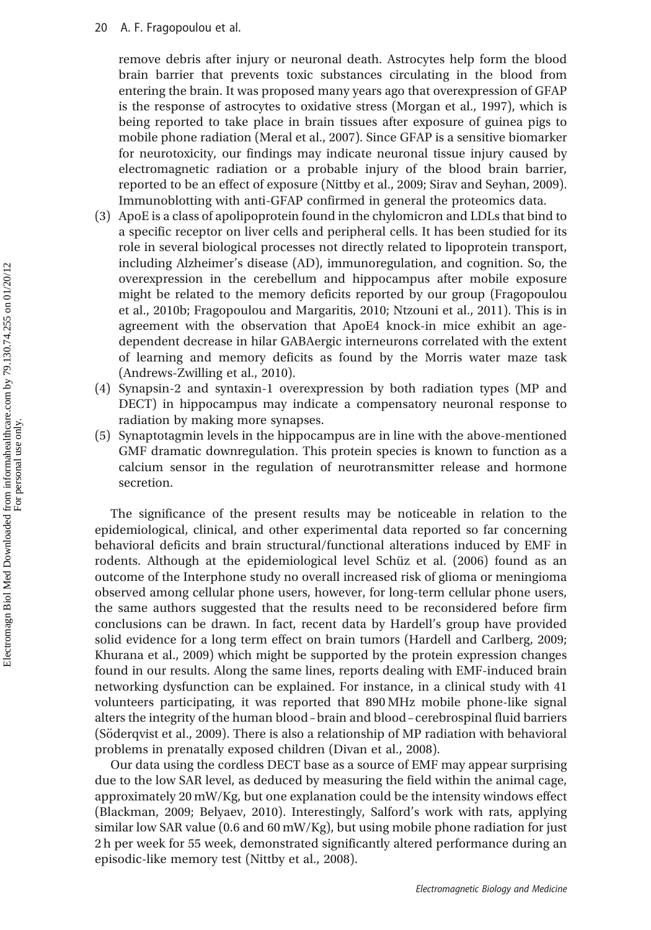remove debris after injury or neuronal death. Astrocytes help form the blood brain barrier that prevents toxic substances circulating in the blood from entering the brain. It was proposed many years ago that overexpression of GFAP is the response of astrocytes to oxidative stress (Morgan et al., 1997), which is being reported to take place in brain tissues after exposure of guinea pigs to mobile phone radiation (Meral et al., 2007). Since GFAP is a sensitive biomarker for neurotoxicity, our findings may indicate neuronal tissue injury caused by electromagnetic radiation or a probable injury of the blood brain barrier, reported to be an effect of exposure (Nittby et al., 2009; Sirav and Seyhan, 2009). Immunoblotting with anti-GFAP confirmed in general the proteomics data.

- (3) ApoE is a class of apolipoprotein found in the chylomicron and LDLs that bind to a specific receptor on liver cells and peripheral cells. It has been studied for its role in several biological processes not directly related to lipoprotein transport, including Alzheimer's disease (AD), immunoregulation, and cognition. So, the overexpression in the cerebellum and hippocampus after mobile exposure might be related to the memory deficits reported by our group (Fragopoulou et al., 2010b; Fragopoulou and Margaritis, 2010; Ntzouni et al., 2011). This is in agreement with the observation that ApoE4 knock-in mice exhibit an agedependent decrease in hilar GABAergic interneurons correlated with the extent of learning and memory deficits as found by the Morris water maze task (Andrews-Zwilling et al., 2010).
- (4) Synapsin-2 and syntaxin-1 overexpression by both radiation types (MP and DECT) in hippocampus may indicate a compensatory neuronal response to radiation by making more synapses.
- (5) Synaptotagmin levels in the hippocampus are in line with the above-mentioned GMF dramatic downregulation. This protein species is known to function as a calcium sensor in the regulation of neurotransmitter release and hormone secretion.

The significance of the present results may be noticeable in relation to the epidemiological, clinical, and other experimental data reported so far concerning behavioral deficits and brain structural/functional alterations induced by EMF in rodents. Although at the epidemiological level Schüz et al. (2006) found as an outcome of the Interphone study no overall increased risk of glioma or meningioma observed among cellular phone users, however, for long-term cellular phone users, the same authors suggested that the results need to be reconsidered before firm conclusions can be drawn. In fact, recent data by Hardell's group have provided solid evidence for a long term effect on brain tumors (Hardell and Carlberg, 2009; Khurana et al., 2009) which might be supported by the protein expression changes found in our results. Along the same lines, reports dealing with EMF-induced brain networking dysfunction can be explained. For instance, in a clinical study with 41 volunteers participating, it was reported that 890 MHz mobile phone-like signal alters the integrity of the human blood–brain and blood–cerebrospinal fluid barriers (Söderqvist et al., 2009). There is also a relationship of MP radiation with behavioral problems in prenatally exposed children (Divan et al., 2008).

Our data using the cordless DECT base as a source of EMF may appear surprising due to the low SAR level, as deduced by measuring the field within the animal cage, approximately 20 mW/Kg, but one explanation could be the intensity windows effect (Blackman, 2009; Belyaev, 2010). Interestingly, Salford's work with rats, applying similar low SAR value  $(0.6 \text{ and } 60 \text{ mW/Kg})$ , but using mobile phone radiation for just 2 h per week for 55 week, demonstrated significantly altered performance during an episodic-like memory test (Nittby et al., 2008).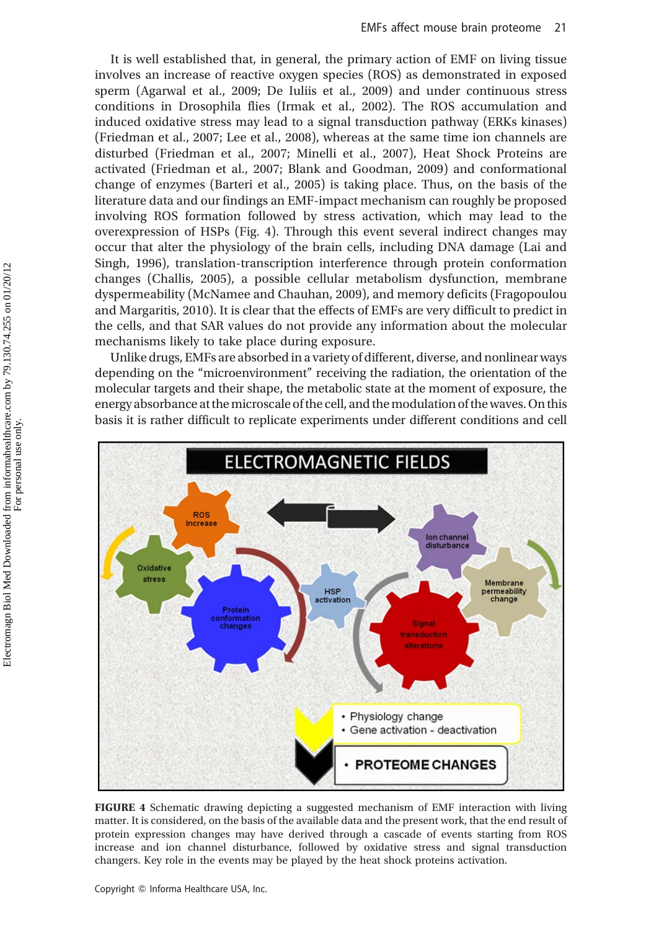It is well established that, in general, the primary action of EMF on living tissue involves an increase of reactive oxygen species (ROS) as demonstrated in exposed sperm (Agarwal et al., 2009; De Iuliis et al., 2009) and under continuous stress conditions in Drosophila flies (Irmak et al., 2002). The ROS accumulation and induced oxidative stress may lead to a signal transduction pathway (ERKs kinases) (Friedman et al., 2007; Lee et al., 2008), whereas at the same time ion channels are disturbed (Friedman et al., 2007; Minelli et al., 2007), Heat Shock Proteins are activated (Friedman et al., 2007; Blank and Goodman, 2009) and conformational change of enzymes (Barteri et al., 2005) is taking place. Thus, on the basis of the literature data and our findings an EMF-impact mechanism can roughly be proposed involving ROS formation followed by stress activation, which may lead to the overexpression of HSPs (Fig. 4). Through this event several indirect changes may occur that alter the physiology of the brain cells, including DNA damage (Lai and Singh, 1996), translation-transcription interference through protein conformation changes (Challis, 2005), a possible cellular metabolism dysfunction, membrane dyspermeability (McNamee and Chauhan, 2009), and memory deficits (Fragopoulou and Margaritis, 2010). It is clear that the effects of EMFs are very difficult to predict in the cells, and that SAR values do not provide any information about the molecular mechanisms likely to take place during exposure.

Unlike drugs, EMFs are absorbed in a variety of different, diverse, and nonlinear ways depending on the "microenvironment" receiving the radiation, the orientation of the molecular targets and their shape, the metabolic state at the moment of exposure, the energy absorbance at the microscale of the cell, and the modulation of the waves. On this basis it is rather difficult to replicate experiments under different conditions and cell



FIGURE 4 Schematic drawing depicting a suggested mechanism of EMF interaction with living matter. It is considered, on the basis of the available data and the present work, that the end result of protein expression changes may have derived through a cascade of events starting from ROS increase and ion channel disturbance, followed by oxidative stress and signal transduction changers. Key role in the events may be played by the heat shock proteins activation.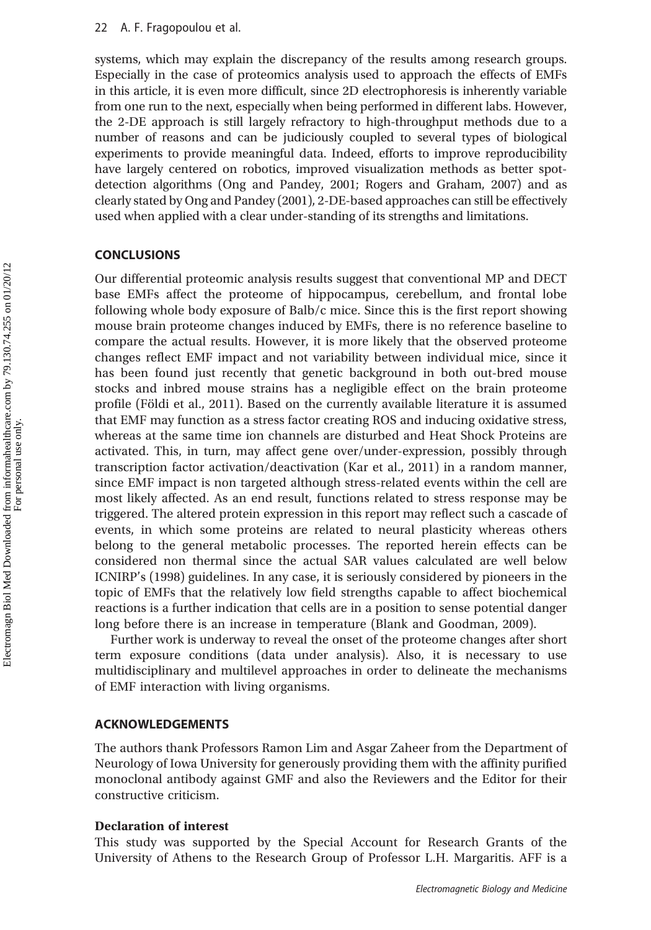systems, which may explain the discrepancy of the results among research groups. Especially in the case of proteomics analysis used to approach the effects of EMFs in this article, it is even more difficult, since 2D electrophoresis is inherently variable from one run to the next, especially when being performed in different labs. However, the 2-DE approach is still largely refractory to high-throughput methods due to a number of reasons and can be judiciously coupled to several types of biological experiments to provide meaningful data. Indeed, efforts to improve reproducibility have largely centered on robotics, improved visualization methods as better spotdetection algorithms (Ong and Pandey, 2001; Rogers and Graham, 2007) and as clearly stated by Ong and Pandey (2001), 2-DE-based approaches can still be effectively used when applied with a clear under-standing of its strengths and limitations.

# **CONCLUSIONS**

Our differential proteomic analysis results suggest that conventional MP and DECT base EMFs affect the proteome of hippocampus, cerebellum, and frontal lobe following whole body exposure of Balb/c mice. Since this is the first report showing mouse brain proteome changes induced by EMFs, there is no reference baseline to compare the actual results. However, it is more likely that the observed proteome changes reflect EMF impact and not variability between individual mice, since it has been found just recently that genetic background in both out-bred mouse stocks and inbred mouse strains has a negligible effect on the brain proteome profile (Földi et al., 2011). Based on the currently available literature it is assumed that EMF may function as a stress factor creating ROS and inducing oxidative stress, whereas at the same time ion channels are disturbed and Heat Shock Proteins are activated. This, in turn, may affect gene over/under-expression, possibly through transcription factor activation/deactivation (Kar et al., 2011) in a random manner, since EMF impact is non targeted although stress-related events within the cell are most likely affected. As an end result, functions related to stress response may be triggered. The altered protein expression in this report may reflect such a cascade of events, in which some proteins are related to neural plasticity whereas others belong to the general metabolic processes. The reported herein effects can be considered non thermal since the actual SAR values calculated are well below ICNIRP's (1998) guidelines. In any case, it is seriously considered by pioneers in the topic of EMFs that the relatively low field strengths capable to affect biochemical reactions is a further indication that cells are in a position to sense potential danger long before there is an increase in temperature (Blank and Goodman, 2009).

Further work is underway to reveal the onset of the proteome changes after short term exposure conditions (data under analysis). Also, it is necessary to use multidisciplinary and multilevel approaches in order to delineate the mechanisms of EMF interaction with living organisms.

# ACKNOWLEDGEMENTS

The authors thank Professors Ramon Lim and Asgar Zaheer from the Department of Neurology of Iowa University for generously providing them with the affinity purified monoclonal antibody against GMF and also the Reviewers and the Editor for their constructive criticism.

#### Declaration of interest

This study was supported by the Special Account for Research Grants of the University of Athens to the Research Group of Professor L.H. Margaritis. AFF is a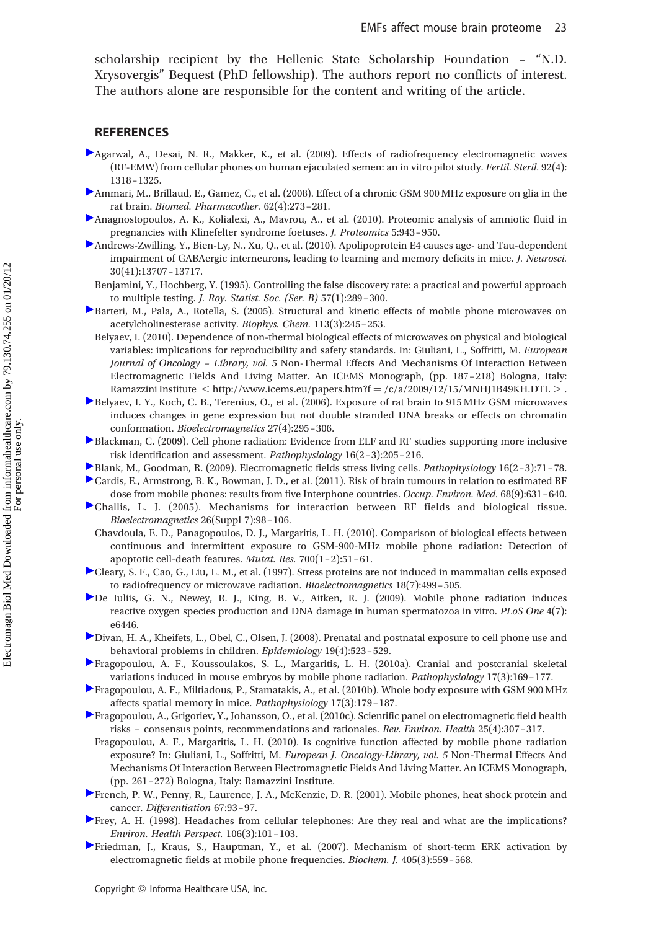scholarship recipient by the Hellenic State Scholarship Foundation – "N.D. Xrysovergis" Bequest (PhD fellowship). The authors report no conflicts of interest. The authors alone are responsible for the content and writing of the article.

#### REFERENCES

- Agarwal, A., Desai, N. R., Makker, K., et al. (2009). Effects of radiofrequency electromagnetic waves (RF-EMW) from cellular phones on human ejaculated semen: an in vitro pilot study. Fertil. Steril. 92(4): 1318–1325.
- Ammari, M., Brillaud, E., Gamez, C., et al. (2008). Effect of a chronic GSM 900 MHz exposure on glia in the rat brain. Biomed. Pharmacother. 62(4):273–281.
- Anagnostopoulos, A. K., Kolialexi, A., Mavrou, A., et al. (2010). Proteomic analysis of amniotic fluid in pregnancies with Klinefelter syndrome foetuses. J. Proteomics 5:943–950.
- Andrews-Zwilling, Y., Bien-Ly, N., Xu, Q., et al. (2010). Apolipoprotein E4 causes age- and Tau-dependent impairment of GABAergic interneurons, leading to learning and memory deficits in mice. J. Neurosci. 30(41):13707–13717.
	- Benjamini, Y., Hochberg, Y. (1995). Controlling the false discovery rate: a practical and powerful approach to multiple testing. J. Roy. Statist. Soc. (Ser. B) 57(1):289–300.
- Barteri, M., Pala, A., Rotella, S. (2005). Structural and kinetic effects of mobile phone microwaves on acetylcholinesterase activity. Biophys. Chem. 113(3):245–253.
	- Belyaev, I. (2010). Dependence of non-thermal biological effects of microwaves on physical and biological variables: implications for reproducibility and safety standards. In: Giuliani, L., Soffritti, M. European Journal of Oncology – Library, vol. 5 Non-Thermal Effects And Mechanisms Of Interaction Between Electromagnetic Fields And Living Matter. An ICEMS Monograph, (pp. 187–218) Bologna, Italy: Ramazzini Institute  $\langle$  http://www.icems.eu/papers.htm?f = /c/a/2009/12/15/MNHJ1B49KH.DTL > .
- Belyaev, I. Y., Koch, C. B., Terenius, O., et al. (2006). Exposure of rat brain to 915 MHz GSM microwaves induces changes in gene expression but not double stranded DNA breaks or effects on chromatin conformation. Bioelectromagnetics 27(4):295–306.
- Blackman, C. (2009). Cell phone radiation: Evidence from ELF and RF studies supporting more inclusive risk identification and assessment. Pathophysiology 16(2–3):205–216.
- Blank, M., Goodman, R. (2009). Electromagnetic fields stress living cells. Pathophysiology 16(2–3):71–78.
- Cardis, E., Armstrong, B. K., Bowman, J. D., et al. (2011). Risk of brain tumours in relation to estimated RF dose from mobile phones: results from five Interphone countries. Occup. Environ. Med. 68(9):631-640.
- Challis, L. J. (2005). Mechanisms for interaction between RF fields and biological tissue. Bioelectromagnetics 26(Suppl 7):98–106.
	- Chavdoula, E. D., Panagopoulos, D. J., Margaritis, L. H. (2010). Comparison of biological effects between continuous and intermittent exposure to GSM-900-MHz mobile phone radiation: Detection of apoptotic cell-death features. Mutat. Res. 700(1–2):51–61.
- Cleary, S. F., Cao, G., Liu, L. M., et al. (1997). Stress proteins are not induced in mammalian cells exposed to radiofrequency or microwave radiation. Bioelectromagnetics 18(7):499–505.
- De Iuliis, G. N., Newey, R. J., King, B. V., Aitken, R. J. (2009). Mobile phone radiation induces reactive oxygen species production and DNA damage in human spermatozoa in vitro. PLoS One 4(7): e6446.
- Divan, H. A., Kheifets, L., Obel, C., Olsen, J. (2008). Prenatal and postnatal exposure to cell phone use and behavioral problems in children. Epidemiology 19(4):523–529.
- Fragopoulou, A. F., Koussoulakos, S. L., Margaritis, L. H. (2010a). Cranial and postcranial skeletal variations induced in mouse embryos by mobile phone radiation. Pathophysiology 17(3):169–177.
- Fragopoulou, A. F., Miltiadous, P., Stamatakis, A., et al. (2010b). Whole body exposure with GSM 900 MHz affects spatial memory in mice. Pathophysiology 17(3):179–187.
- Fragopoulou, A., Grigoriev, Y., Johansson, O., et al. (2010c). Scientific panel on electromagnetic field health risks – consensus points, recommendations and rationales. Rev. Environ. Health 25(4):307–317.
	- Fragopoulou, A. F., Margaritis, L. H. (2010). Is cognitive function affected by mobile phone radiation exposure? In: Giuliani, L., Soffritti, M. European J. Oncology-Library, vol. 5 Non-Thermal Effects And Mechanisms Of Interaction Between Electromagnetic Fields And Living Matter. An ICEMS Monograph, (pp. 261–272) Bologna, Italy: Ramazzini Institute.
- French, P. W., Penny, R., Laurence, J. A., McKenzie, D. R. (2001). Mobile phones, heat shock protein and cancer. Differentiation 67:93–97.
- Frey, A. H. (1998). Headaches from cellular telephones: Are they real and what are the implications? Environ. Health Perspect. 106(3):101–103.
- Friedman, J., Kraus, S., Hauptman, Y., et al. (2007). Mechanism of short-term ERK activation by electromagnetic fields at mobile phone frequencies. Biochem. J. 405(3):559–568.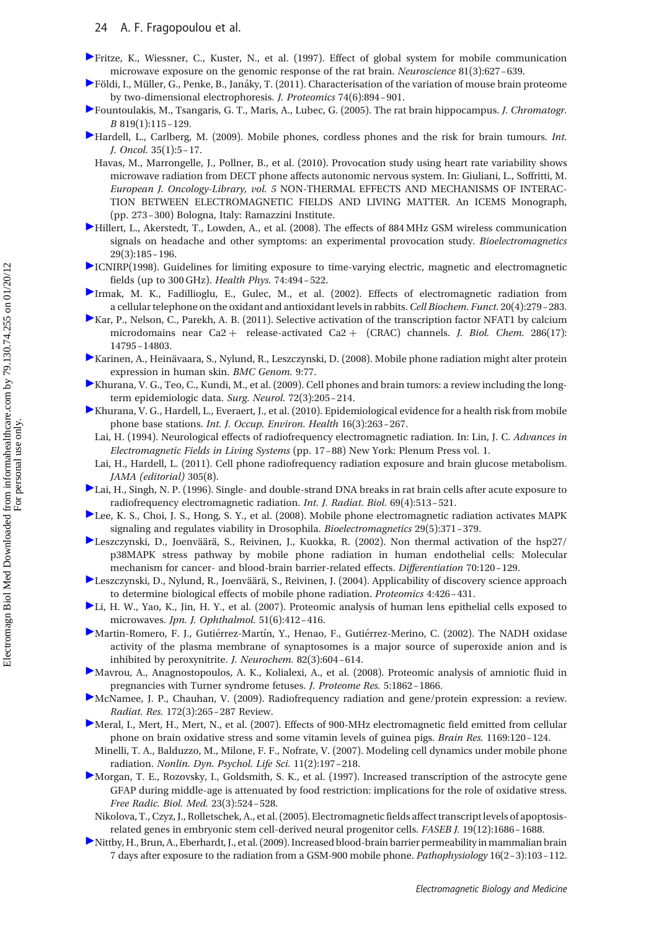- Fritze, K., Wiessner, C., Kuster, N., et al. (1997). Effect of global system for mobile communication microwave exposure on the genomic response of the rat brain. Neuroscience 81(3):627–639.
- $\blacktriangleright$  Földi, I., Müller, G., Penke, B., Janáky, T. (2011). Characterisation of the variation of mouse brain proteome by two-dimensional electrophoresis. J. Proteomics 74(6):894 –901.
- Fountoulakis, M., Tsangaris, G. T., Maris, A., Lubec, G. (2005). The rat brain hippocampus. J. Chromatogr. B 819(1):115–129.
- Hardell, L., Carlberg, M. (2009). Mobile phones, cordless phones and the risk for brain tumours. Int. J. Oncol. 35(1):5–17.
	- Havas, M., Marrongelle, J., Pollner, B., et al. (2010). Provocation study using heart rate variability shows microwave radiation from DECT phone affects autonomic nervous system. In: Giuliani, L., Soffritti, M. European J. Oncology-Library, vol. 5 NON-THERMAL EFFECTS AND MECHANISMS OF INTERAC-TION BETWEEN ELECTROMAGNETIC FIELDS AND LIVING MATTER. An ICEMS Monograph, (pp. 273–300) Bologna, Italy: Ramazzini Institute.
- Hillert, L., Akerstedt, T., Lowden, A., et al. (2008). The effects of 884 MHz GSM wireless communication signals on headache and other symptoms: an experimental provocation study. Bioelectromagnetics 29(3):185–196.
- ICNIRP(1998). Guidelines for limiting exposure to time-varying electric, magnetic and electromagnetic fields (up to 300 GHz). Health Phys. 74:494–522.
- Irmak, M. K., Fadillioglu, E., Gulec, M., et al. (2002). Effects of electromagnetic radiation from a cellular telephone on the oxidant and antioxidant levels in rabbits.Cell Biochem. Funct. 20(4):279–283.
- Kar, P., Nelson, C., Parekh, A. B. (2011). Selective activation of the transcription factor NFAT1 by calcium microdomains near Ca2 + release-activated Ca2 + (CRAC) channels. *J. Biol. Chem.* 286(17): 14795–14803.
- Karinen, A., Heinävaara, S., Nylund, R., Leszczynski, D. (2008). Mobile phone radiation might alter protein expression in human skin. BMC Genom. 9:77.
- Khurana, V. G., Teo, C., Kundi, M., et al. (2009). Cell phones and brain tumors: a review including the longterm epidemiologic data. Surg. Neurol. 72(3):205–214.
- Khurana, V. G., Hardell, L., Everaert, J., et al. (2010). Epidemiological evidence for a health risk from mobile phone base stations. Int. J. Occup. Environ. Health 16(3):263–267.
	- Lai, H. (1994). Neurological effects of radiofrequency electromagnetic radiation. In: Lin, J. C. Advances in Electromagnetic Fields in Living Systems (pp. 17–88) New York: Plenum Press vol. 1.
	- Lai, H., Hardell, L. (2011). Cell phone radiofrequency radiation exposure and brain glucose metabolism. JAMA (editorial) 305(8).
- Lai, H., Singh, N. P. (1996). Single- and double-strand DNA breaks in rat brain cells after acute exposure to radiofrequency electromagnetic radiation. Int. J. Radiat. Biol. 69(4):513–521.
- Lee, K. S., Choi, J. S., Hong, S. Y., et al. (2008). Mobile phone electromagnetic radiation activates MAPK signaling and regulates viability in Drosophila. Bioelectromagnetics 29(5):371–379.
- Leszczynski, D., Joenväärä, S., Reivinen, J., Kuokka, R. (2002). Non thermal activation of the hsp27/ p38MAPK stress pathway by mobile phone radiation in human endothelial cells: Molecular mechanism for cancer- and blood-brain barrier-related effects. Differentiation 70:120–129.
- ► Leszczynski, D., Nylund, R., Joenväärä, S., Reivinen, J. (2004). Applicability of discovery science approach to determine biological effects of mobile phone radiation. Proteomics 4:426–431.
- Li, H. W., Yao, K., Jin, H. Y., et al. (2007). Proteomic analysis of human lens epithelial cells exposed to microwaves. Jpn. J. Ophthalmol. 51(6):412–416.
- Martin-Romero, F. J., Gutiérrez-Martín, Y., Henao, F., Gutiérrez-Merino, C. (2002). The NADH oxidase activity of the plasma membrane of synaptosomes is a major source of superoxide anion and is inhibited by peroxynitrite. J. Neurochem. 82(3):604–614.
- Mavrou, A., Anagnostopoulos, A. K., Kolialexi, A., et al. (2008). Proteomic analysis of amniotic fluid in pregnancies with Turner syndrome fetuses. J. Proteome Res. 5:1862–1866.
- McNamee, J. P., Chauhan, V. (2009). Radiofrequency radiation and gene/protein expression: a review. Radiat. Res. 172(3):265–287 Review.
- Meral, I., Mert, H., Mert, N., et al. (2007). Effects of 900-MHz electromagnetic field emitted from cellular phone on brain oxidative stress and some vitamin levels of guinea pigs. Brain Res. 1169:120–124.
	- Minelli, T. A., Balduzzo, M., Milone, F. F., Nofrate, V. (2007). Modeling cell dynamics under mobile phone radiation. Nonlin. Dyn. Psychol. Life Sci. 11(2):197–218.
- Morgan, T. E., Rozovsky, I., Goldsmith, S. K., et al. (1997). Increased transcription of the astrocyte gene GFAP during middle-age is attenuated by food restriction: implications for the role of oxidative stress. Free Radic. Biol. Med. 23(3):524–528.
- Nikolova, T., Czyz, J., Rolletschek, A., et al. (2005). Electromagnetic fields affect transcript levels of apoptosisrelated genes in embryonic stem cell-derived neural progenitor cells. FASEB J. 19(12):1686–1688.
- Nittby, H., Brun, A., Eberhardt, J., et al. (2009). Increased blood-brain barrier permeability in mammalian brain 7 days after exposure to the radiation from a GSM-900 mobile phone. Pathophysiology 16(2–3):103–112.